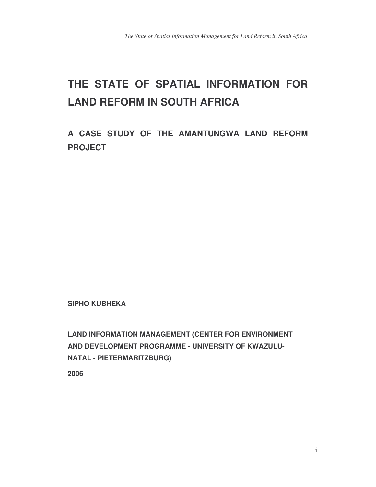# **THE STATE OF SPATIAL INFORMATION FOR LAND REFORM IN SOUTH AFRICA**

**A CASE STUDY OF THE AMANTUNGWA LAND REFORM PROJECT**

**SIPHO KUBHEKA**

**LAND INFORMATION MANAGEMENT (CENTER FOR ENVIRONMENT AND DEVELOPMENT PROGRAMME - UNIVERSITY OF KWAZULU-NATAL - PIETERMARITZBURG)**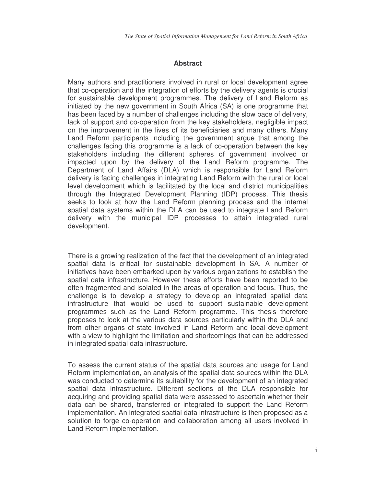#### **Abstract**

Many authors and practitioners involved in rural or local development agree that co-operation and the integration of efforts by the delivery agents is crucial for sustainable development programmes. The delivery of Land Reform as initiated by the new government in South Africa (SA) is one programme that has been faced by a number of challenges including the slow pace of delivery, lack of support and co-operation from the key stakeholders, negligible impact on the improvement in the lives of its beneficiaries and many others. Many Land Reform participants including the government argue that among the challenges facing this programme is a lack of co-operation between the key stakeholders including the different spheres of government involved or impacted upon by the delivery of the Land Reform programme. The Department of Land Affairs (DLA) which is responsible for Land Reform delivery is facing challenges in integrating Land Reform with the rural or local level development which is facilitated by the local and district municipalities through the Integrated Development Planning (IDP) process. This thesis seeks to look at how the Land Reform planning process and the internal spatial data systems within the DLA can be used to integrate Land Reform delivery with the municipal IDP processes to attain integrated rural development.

There is a growing realization of the fact that the development of an integrated spatial data is critical for sustainable development in SA. A number of initiatives have been embarked upon by various organizations to establish the spatial data infrastructure. However these efforts have been reported to be often fragmented and isolated in the areas of operation and focus. Thus, the challenge is to develop a strategy to develop an integrated spatial data infrastructure that would be used to support sustainable development programmes such as the Land Reform programme. This thesis therefore proposes to look at the various data sources particularly within the DLA and from other organs of state involved in Land Reform and local development with a view to highlight the limitation and shortcomings that can be addressed in integrated spatial data infrastructure.

To assess the current status of the spatial data sources and usage for Land Reform implementation, an analysis of the spatial data sources within the DLA was conducted to determine its suitability for the development of an integrated spatial data infrastructure. Different sections of the DLA responsible for acquiring and providing spatial data were assessed to ascertain whether their data can be shared, transferred or integrated to support the Land Reform implementation. An integrated spatial data infrastructure is then proposed as a solution to forge co-operation and collaboration among all users involved in Land Reform implementation.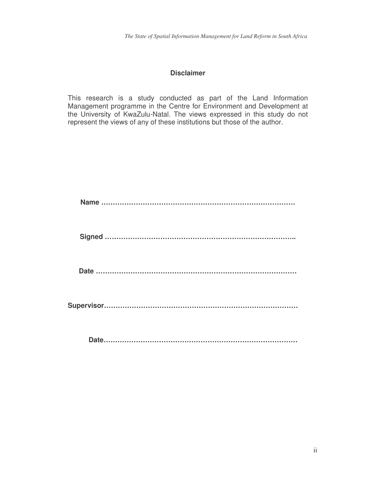#### **Disclaimer**

This research is a study conducted as part of the Land Information Management programme in the Centre for Environment and Development at the University of KwaZulu-Natal. The views expressed in this study do not represent the views of any of these institutions but those of the author.

**Date…………………………………………………………………………**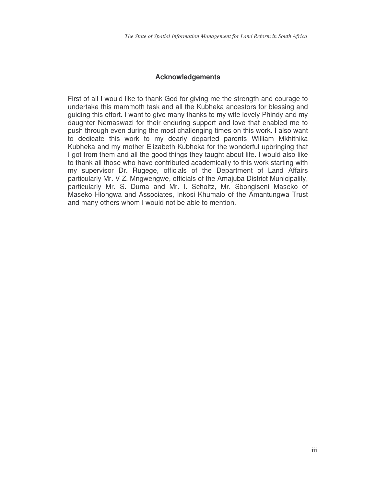#### **Acknowledgements**

First of all I would like to thank God for giving me the strength and courage to undertake this mammoth task and all the Kubheka ancestors for blessing and guiding this effort. I want to give many thanks to my wife lovely Phindy and my daughter Nomaswazi for their enduring support and love that enabled me to push through even during the most challenging times on this work. I also want to dedicate this work to my dearly departed parents William Mkhithika Kubheka and my mother Elizabeth Kubheka for the wonderful upbringing that I got from them and all the good things they taught about life. I would also like to thank all those who have contributed academically to this work starting with my supervisor Dr. Rugege, officials of the Department of Land Affairs particularly Mr. V Z. Mngwengwe, officials of the Amajuba District Municipality, particularly Mr. S. Duma and Mr. I. Scholtz, Mr. Sbongiseni Maseko of Maseko Hlongwa and Associates, Inkosi Khumalo of the Amantungwa Trust and many others whom I would not be able to mention.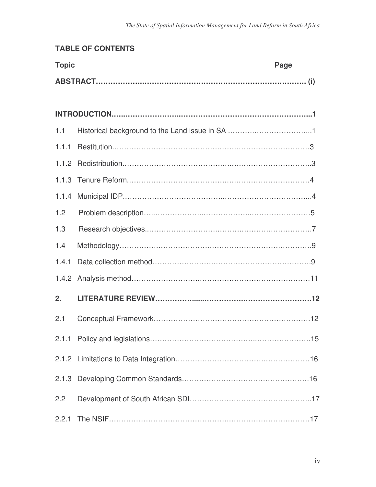### **TABLE OF CONTENTS**

| <b>Topic</b> | Page |
|--------------|------|
|              |      |
|              |      |
|              |      |
| 1.1          |      |
|              |      |
|              |      |
|              |      |
|              |      |
| 1.2          |      |
| 1.3          |      |
| 1.4          |      |
| 1.4.1        |      |
|              |      |
| 2.           |      |
| 2.1          |      |
|              |      |
|              |      |
|              |      |
| 2.2          |      |
|              |      |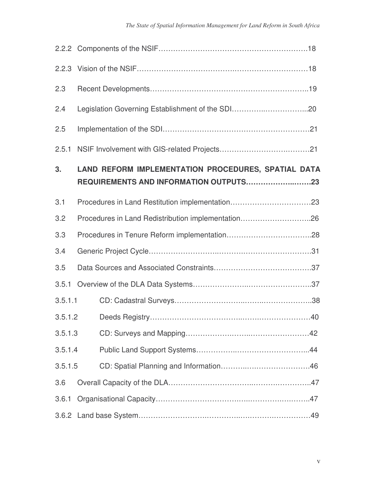| 2.3     |                                                                                               |  |
|---------|-----------------------------------------------------------------------------------------------|--|
| 2.4     | Legislation Governing Establishment of the SDI20                                              |  |
| 2.5     |                                                                                               |  |
|         |                                                                                               |  |
| 3.      | LAND REFORM IMPLEMENTATION PROCEDURES, SPATIAL DATA<br>REQUIREMENTS AND INFORMATION OUTPUTS23 |  |
| 3.1     |                                                                                               |  |
| 3.2     | Procedures in Land Redistribution implementation26                                            |  |
| 3.3     |                                                                                               |  |
| 3.4     |                                                                                               |  |
| 3.5     |                                                                                               |  |
| 3.5.1   |                                                                                               |  |
| 3.5.1.1 |                                                                                               |  |
|         |                                                                                               |  |
| 3.5.1.3 |                                                                                               |  |
| 3.5.1.4 |                                                                                               |  |
| 3.5.1.5 |                                                                                               |  |
| 3.6     |                                                                                               |  |
| 3.6.1   |                                                                                               |  |
|         |                                                                                               |  |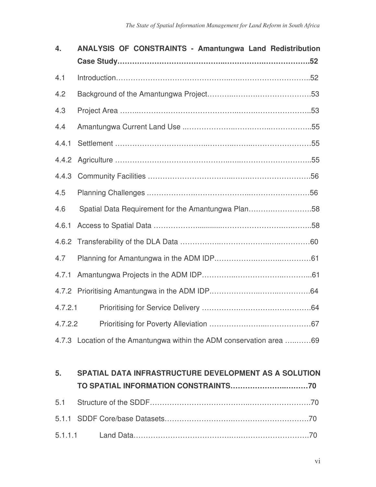| 4.      | <b>ANALYSIS OF CONSTRAINTS - Amantungwa Land Redistribution</b>      |
|---------|----------------------------------------------------------------------|
|         |                                                                      |
| 4.1     |                                                                      |
| 4.2     |                                                                      |
| 4.3     |                                                                      |
| 4.4     |                                                                      |
| 4.4.1   |                                                                      |
| 4.4.2   |                                                                      |
| 4.4.3   |                                                                      |
| 4.5     |                                                                      |
| 4.6     | Spatial Data Requirement for the Amantungwa Plan58                   |
| 4.6.1   |                                                                      |
| 4.6.2   |                                                                      |
| 4.7     |                                                                      |
| 4.7.1   |                                                                      |
| 4.7.2   |                                                                      |
| 4.7.2.1 |                                                                      |
| 4.7.2.2 |                                                                      |
|         | 4.7.3 Location of the Amantungwa within the ADM conservation area 69 |

|  | 5. SPATIAL DATA INFRASTRUCTURE DEVELOPMENT AS A SOLUTION |  |
|--|----------------------------------------------------------|--|
|  |                                                          |  |
|  |                                                          |  |
|  |                                                          |  |
|  |                                                          |  |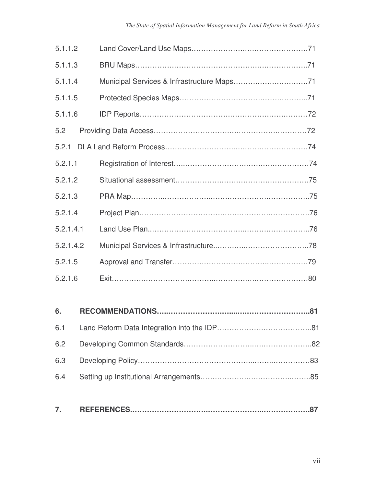| 5.1.1.2   |  |
|-----------|--|
| 5.1.1.3   |  |
| 5.1.1.4   |  |
| 5.1.1.5   |  |
| 5.1.1.6   |  |
|           |  |
|           |  |
| 5.2.1.1   |  |
| 5.2.1.2   |  |
| 5.2.1.3   |  |
| 5.2.1.4   |  |
| 5.2.1.4.1 |  |
| 5.2.1.4.2 |  |
| 5.2.1.5   |  |
| 5.2.1.6   |  |
|           |  |
|           |  |
|           |  |
|           |  |
|           |  |
|           |  |
|           |  |
|           |  |

|--|--|--|--|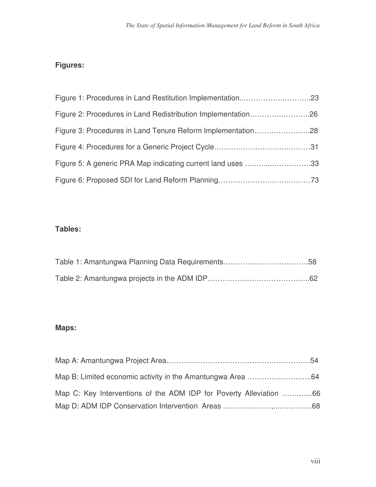## **Figures:**

| Figure 2: Procedures in Land Redistribution Implementation26 |  |
|--------------------------------------------------------------|--|
| Figure 3: Procedures in Land Tenure Reform Implementation28  |  |
|                                                              |  |
| Figure 5: A generic PRA Map indicating current land uses 33  |  |
|                                                              |  |

### **Tables:**

### **Maps:**

| Map C: Key Interventions of the ADM IDP for Poverty Alleviation 66 |  |
|--------------------------------------------------------------------|--|
|                                                                    |  |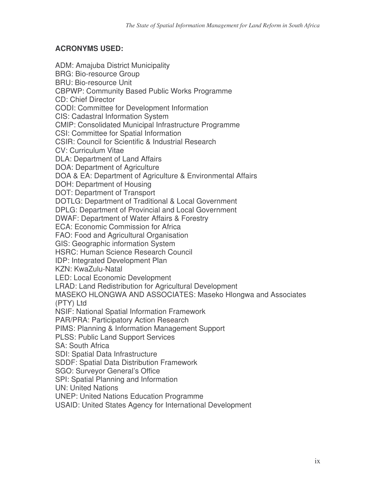### **ACRONYMS USED:**

ADM: Amajuba District Municipality BRG: Bio-resource Group BRU: Bio-resource Unit CBPWP: Community Based Public Works Programme CD: Chief Director CODI: Committee for Development Information CIS: Cadastral Information System CMIP: Consolidated Municipal Infrastructure Programme CSI: Committee for Spatial Information CSIR: Council for Scientific & Industrial Research CV: Curriculum Vitae DLA: Department of Land Affairs DOA: Department of Agriculture DOA & EA: Department of Agriculture & Environmental Affairs DOH: Department of Housing DOT: Department of Transport DOTLG: Department of Traditional & Local Government DPLG: Department of Provincial and Local Government DWAF: Department of Water Affairs & Forestry ECA: Economic Commission for Africa FAO: Food and Agricultural Organisation GIS: Geographic information System HSRC: Human Science Research Council IDP: Integrated Development Plan KZN: KwaZulu-Natal LED: Local Economic Development LRAD: Land Redistribution for Agricultural Development MASEKO HLONGWA AND ASSOCIATES: Maseko Hlongwa and Associates (PTY) Ltd NSIF: National Spatial Information Framework PAR/PRA: Participatory Action Research PIMS: Planning & Information Management Support PLSS: Public Land Support Services SA: South Africa SDI: Spatial Data Infrastructure SDDF: Spatial Data Distribution Framework SGO: Surveyor General's Office SPI: Spatial Planning and Information UN: United Nations UNEP: United Nations Education Programme USAID: United States Agency for International Development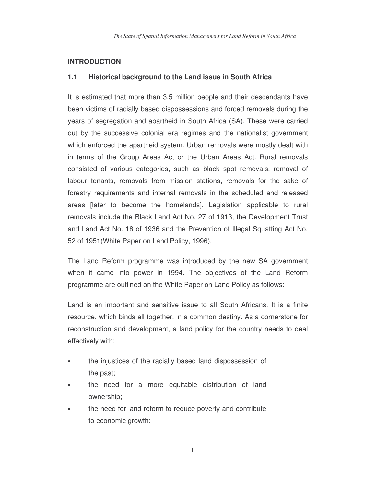#### **INTRODUCTION**

#### **1.1 Historical background to the Land issue in South Africa**

It is estimated that more than 3.5 million people and their descendants have been victims of racially based dispossessions and forced removals during the years of segregation and apartheid in South Africa (SA). These were carried out by the successive colonial era regimes and the nationalist government which enforced the apartheid system. Urban removals were mostly dealt with in terms of the Group Areas Act or the Urban Areas Act. Rural removals consisted of various categories, such as black spot removals, removal of labour tenants, removals from mission stations, removals for the sake of forestry requirements and internal removals in the scheduled and released areas [later to become the homelands]. Legislation applicable to rural removals include the Black Land Act No. 27 of 1913, the Development Trust and Land Act No. 18 of 1936 and the Prevention of Illegal Squatting Act No. 52 of 1951(White Paper on Land Policy, 1996).

The Land Reform programme was introduced by the new SA government when it came into power in 1994. The objectives of the Land Reform programme are outlined on the White Paper on Land Policy as follows:

Land is an important and sensitive issue to all South Africans. It is a finite resource, which binds all together, in a common destiny. As a cornerstone for reconstruction and development, a land policy for the country needs to deal effectively with:

- the injustices of the racially based land dispossession of the past;
- the need for a more equitable distribution of land ownership;
- the need for land reform to reduce poverty and contribute to economic growth;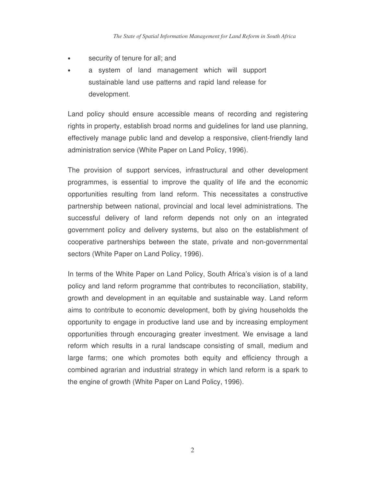- security of tenure for all; and
- a system of land management which will support sustainable land use patterns and rapid land release for development.

Land policy should ensure accessible means of recording and registering rights in property, establish broad norms and guidelines for land use planning, effectively manage public land and develop a responsive, client-friendly land administration service (White Paper on Land Policy, 1996).

The provision of support services, infrastructural and other development programmes, is essential to improve the quality of life and the economic opportunities resulting from land reform. This necessitates a constructive partnership between national, provincial and local level administrations. The successful delivery of land reform depends not only on an integrated government policy and delivery systems, but also on the establishment of cooperative partnerships between the state, private and non-governmental sectors (White Paper on Land Policy, 1996).

In terms of the White Paper on Land Policy, South Africa's vision is of a land policy and land reform programme that contributes to reconciliation, stability, growth and development in an equitable and sustainable way. Land reform aims to contribute to economic development, both by giving households the opportunity to engage in productive land use and by increasing employment opportunities through encouraging greater investment. We envisage a land reform which results in a rural landscape consisting of small, medium and large farms; one which promotes both equity and efficiency through a combined agrarian and industrial strategy in which land reform is a spark to the engine of growth (White Paper on Land Policy, 1996).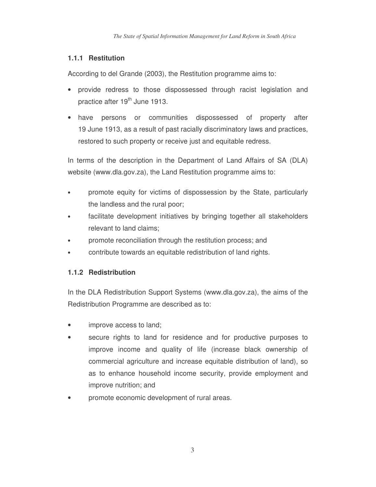#### **1.1.1 Restitution**

According to del Grande (2003), the Restitution programme aims to:

- provide redress to those dispossessed through racist legislation and practice after 19<sup>th</sup> June 1913.
- have persons or communities dispossessed of property after 19 June 1913, as a result of past racially discriminatory laws and practices, restored to such property or receive just and equitable redress.

In terms of the description in the Department of Land Affairs of SA (DLA) website (www.dla.gov.za), the Land Restitution programme aims to:

- promote equity for victims of dispossession by the State, particularly the landless and the rural poor;
- facilitate development initiatives by bringing together all stakeholders relevant to land claims;
- promote reconciliation through the restitution process; and
- contribute towards an equitable redistribution of land rights.

#### **1.1.2 Redistribution**

In the DLA Redistribution Support Systems (www.dla.gov.za), the aims of the Redistribution Programme are described as to:

- improve access to land;
- secure rights to land for residence and for productive purposes to improve income and quality of life (increase black ownership of commercial agriculture and increase equitable distribution of land), so as to enhance household income security, provide employment and improve nutrition; and
- promote economic development of rural areas.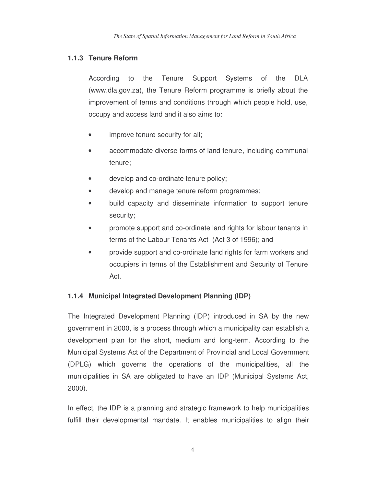#### **1.1.3 Tenure Reform**

According to the Tenure Support Systems of the DLA (www.dla.gov.za), the Tenure Reform programme is briefly about the improvement of terms and conditions through which people hold, use, occupy and access land and it also aims to:

- improve tenure security for all;
- accommodate diverse forms of land tenure, including communal tenure;
- develop and co-ordinate tenure policy;
- develop and manage tenure reform programmes;
- build capacity and disseminate information to support tenure security;
- promote support and co-ordinate land rights for labour tenants in terms of the Labour Tenants Act (Act 3 of 1996); and
- provide support and co-ordinate land rights for farm workers and occupiers in terms of the Establishment and Security of Tenure Act.

#### **1.1.4 Municipal Integrated Development Planning (IDP)**

The Integrated Development Planning (IDP) introduced in SA by the new government in 2000, is a process through which a municipality can establish a development plan for the short, medium and long-term. According to the Municipal Systems Act of the Department of Provincial and Local Government (DPLG) which governs the operations of the municipalities, all the municipalities in SA are obligated to have an IDP (Municipal Systems Act, 2000).

In effect, the IDP is a planning and strategic framework to help municipalities fulfill their developmental mandate. It enables municipalities to align their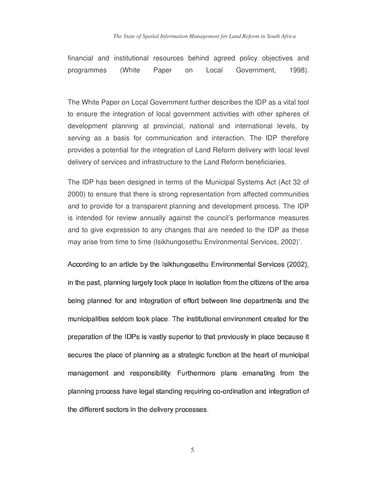#### The State of Spatial Information Management for Land Reform in South Africa

financial and institutional resources behind agreed policy objectives and programmes (White Paper on Local Government, 1998).

The White Paper on Local Government further describes the IDP as a vital tool to ensure the integration of local government activities with other spheres of development planning at provincial, national and international levels, by serving as a basis for communication and interaction. The IDP therefore provides a potential for the integration of Land Reform delivery with local level delivery of services and infrastructure to the Land Reform beneficiaries.

The IDP has been designed in terms of the Municipal Systems Act (Act 32 of 2000) to ensure that there is strong representation from affected communities and to provide for a transparent planning and development process. The IDP is intended for review annually against the council's performance measures and to give expression to any changes that are needed to the IDP as these may arise from time to time (Isikhungosethu Environmental Services, 2002)'.

According to an article by the Isikhungosethu Environmental Services (2002), in the past, planning largely took place in isolation from the citizens of the area being planned for and integration of effort between line departments and the municipalities seldom took place. The institutional environment created for the preparation of the IDPs is vastly superior to that previously in place because it secures the place of planning as a strategic function at the heart of municipal management and responsibility. Furthermore plans emanating from the planning process have legal standing requiring co-ordination and integration of the different sectors in the delivery processes.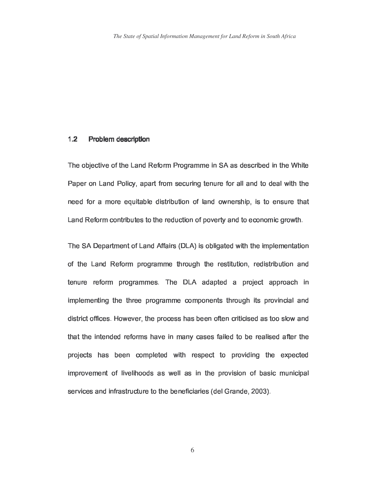#### $1.2$ **Problem description**

The objective of the Land Reform Programme in SA as described in the White Paper on Land Policy, apart from securing tenure for all and to deal with the need for a more equitable distribution of land ownership, is to ensure that Land Reform contributes to the reduction of poverty and to economic growth.

The SA Department of Land Affairs (DLA) is obligated with the implementation of the Land Reform programme through the restitution, redistribution and tenure reform programmes. The DLA adapted a project approach in implementing the three programme components through its provincial and district offices. However, the process has been often criticised as too slow and that the intended reforms have in many cases failed to be realised after the projects has been completed with respect to providing the expected improvement of livelihoods as well as in the provision of basic municipal services and infrastructure to the beneficiaries (del Grande, 2003).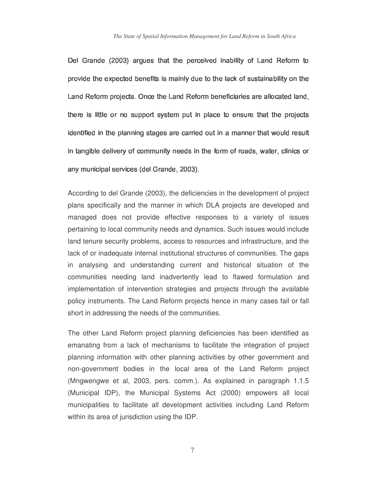$-$  . The set of the state of the state of the state of the state of the state of the state of the state of the state of the state of the state of the state of the state of the state of the state of the state of the state . The second contract is the second contract of the second contract of the second contract of the second contract of the second contract of the second contract of the second contract of the second contract of the second c Land Reform projects. Once the Land Reform beneficiaries are allocated land, there is little or no support system put in place to ensure that the projects  &


\$  , 

- 78-+   $\ldots$  and  $\ldots$  and  $\ldots$  and  $\ldots$  . The contract of the contract of the contract of the contract of the contract of the contract of the contract of the contract of the contract of the contract of the contract of the con was a series of the contract of the contract of the contract of the contract of the contract of the contract o

According to del Grande (2003), the deficiencies in the development of project plans specifically and the manner in which DLA projects are developed and managed does not provide effective responses to a variety of issues pertaining to local community needs and dynamics. Such issues would include land tenure security problems, access to resources and infrastructure, and the lack of or inadequate internal institutional structures of communities. The gaps in analysing and understanding current and historical situation of the communities needing land inadvertently lead to flawed formulation and implementation of intervention strategies and projects through the available policy instruments. The Land Reform projects hence in many cases fail or fall short in addressing the needs of the communities.

The other Land Reform project planning deficiencies has been identified as emanating from a lack of mechanisms to facilitate the integration of project planning information with other planning activities by other government and non-government bodies in the local area of the Land Reform project (Mngwengwe et al, 2003, pers. comm.). As explained in paragraph 1.1.5 (Municipal IDP), the Municipal Systems Act (2000) empowers all local municipalities to facilitate all development activities including Land Reform within its area of jurisdiction using the IDP.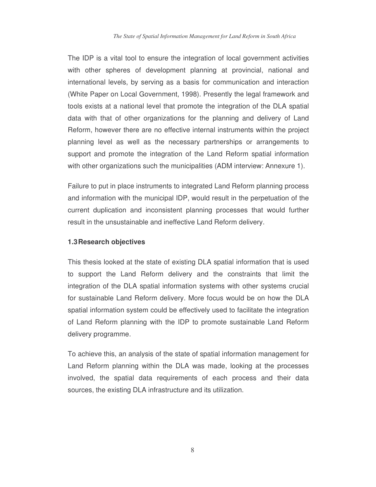The IDP is a vital tool to ensure the integration of local government activities with other spheres of development planning at provincial, national and international levels, by serving as a basis for communication and interaction (White Paper on Local Government, 1998). Presently the legal framework and tools exists at a national level that promote the integration of the DLA spatial data with that of other organizations for the planning and delivery of Land Reform, however there are no effective internal instruments within the project planning level as well as the necessary partnerships or arrangements to support and promote the integration of the Land Reform spatial information with other organizations such the municipalities (ADM interview: Annexure 1).

Failure to put in place instruments to integrated Land Reform planning process and information with the municipal IDP, would result in the perpetuation of the current duplication and inconsistent planning processes that would further result in the unsustainable and ineffective Land Reform delivery.

#### **1.3Research objectives**

This thesis looked at the state of existing DLA spatial information that is used to support the Land Reform delivery and the constraints that limit the integration of the DLA spatial information systems with other systems crucial for sustainable Land Reform delivery. More focus would be on how the DLA spatial information system could be effectively used to facilitate the integration of Land Reform planning with the IDP to promote sustainable Land Reform delivery programme.

To achieve this, an analysis of the state of spatial information management for Land Reform planning within the DLA was made, looking at the processes involved, the spatial data requirements of each process and their data sources, the existing DLA infrastructure and its utilization.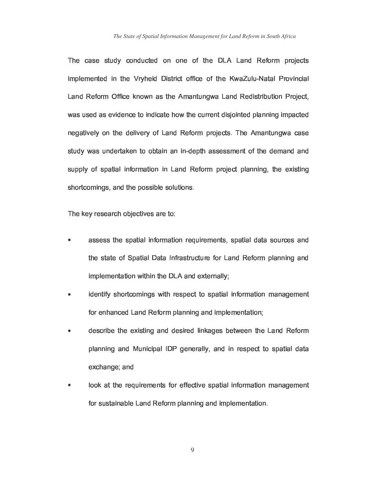The case study conducted on one of the DLA Land Reform projects implemented in the Vryheid District office of the KwaZulu-Natal Provincial Land Reform Office known as the Amantungwa Land Redistribution Project, was used as evidence to indicate how the current disjointed planning impacted negatively on the delivery of Land Reform projects. The Amantungwa case study was undertaken to obtain an in-depth assessment of the demand and supply of spatial information in Land Reform project planning, the existing shortcomings, and the possible solutions.

The key research objectives are to:

- assess the spatial information requirements, spatial data sources and  $\bullet$ the state of Spatial Data Infrastructure for Land Reform planning and implementation within the DLA and externally;
- identify shortcomings with respect to spatial information management for enhanced Land Reform planning and implementation;
- describe the existing and desired linkages between the Land Reform  $\bullet$ planning and Municipal IDP generally, and in respect to spatial data exchange; and
- look at the requirements for effective spatial information management for sustainable Land Reform planning and implementation.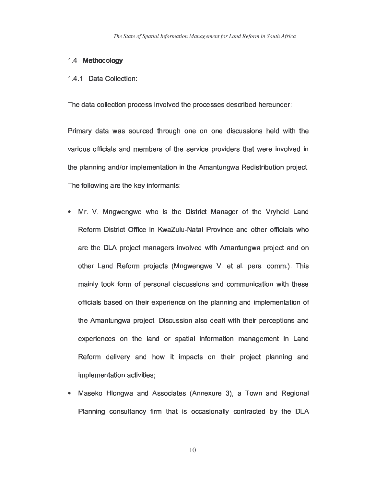#### 1.4 Methodology

#### 1.4.1 Data Collection:

The data collection process involved the processes described hereunder:

Primary data was sourced through one on one discussions held with the various officials and members of the service providers that were involved in the planning and/or implementation in the Amantungwa Redistribution project. The following are the key informants:

- $\bullet$ Mr. V. Mngwengwe who is the District Manager of the Vryheid Land Reform District Office in KwaZulu-Natal Province and other officials who are the DLA project managers involved with Amantungwa project and on other Land Reform projects (Mngwengwe V. et al. pers. comm.). This mainly took form of personal discussions and communication with these officials based on their experience on the planning and implementation of the Amantungwa project. Discussion also dealt with their perceptions and experiences on the land or spatial information management in Land Reform delivery and how it impacts on their project planning and implementation activities;
- Maseko Hlongwa and Associates (Annexure 3), a Town and Regional  $\bullet$ Planning consultancy firm that is occasionally contracted by the DLA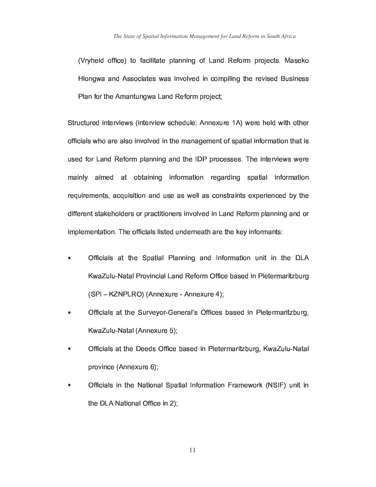(Vryheid office) to facilitate planning of Land Reform projects. Maseko Hlongwa and Associates was involved in compiling the revised Business Plan for the Amantungwa Land Reform project;

Structured interviews (interview schedule: Annexure 1A) were held with other officials who are also involved in the management of spatial information that is used for Land Reform planning and the IDP processes. The interviews were mainly aimed at obtaining information regarding spatial information requirements, acquisition and use as well as constraints experienced by the different stakeholders or practitioners involved in Land Reform planning and or implementation. The officials listed underneath are the key informants:

- Officials at the Spatial Planning and Information unit in the DLA KwaZulu-Natal Provincial Land Reform Office based in Pietermaritzburg (SPI – KZNPLRO) (Annexure - Annexure 4);
- Officials at the Surveyor-General's Offices based in Pietermaritzburg, KwaZulu-Natal (Annexure 5);
- Officials at the Deeds Office based in Pietermaritzburg, KwaZulu-Natal province (Annexure 6);
- Officials in the National Spatial Information Framework (NSIF) unit in the DLA National Office in 2);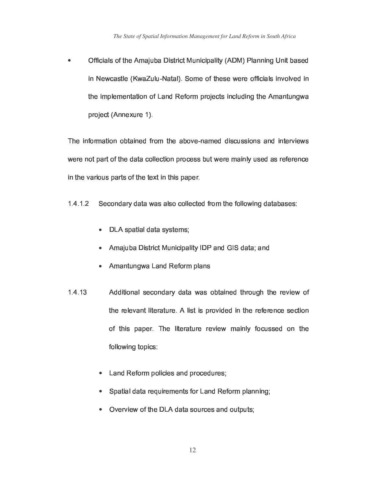Officials of the Amajuba District Municipality (ADM) Planning Unit based in Newcastle (KwaZulu-Natal). Some of these were officials involved in the implementation of Land Reform projects including the Amantungwa project (Annexure 1).

The information obtained from the above-named discussions and interviews were not part of the data collection process but were mainly used as reference in the various parts of the text in this paper.

- $1.4.1.2$ Secondary data was also collected from the following databases:
	- DLA spatial data systems;  $\bullet$
	- Amajuba District Municipality IDP and GIS data; and
	- Amantungwa Land Reform plans
- 14 13 Additional secondary data was obtained through the review of the relevant literature. A list is provided in the reference section of this paper. The literature review mainly focussed on the following topics:
	- $\bullet$ Land Reform policies and procedures;
	- Spatial data requirements for Land Reform planning;
	- Overview of the DLA data sources and outputs;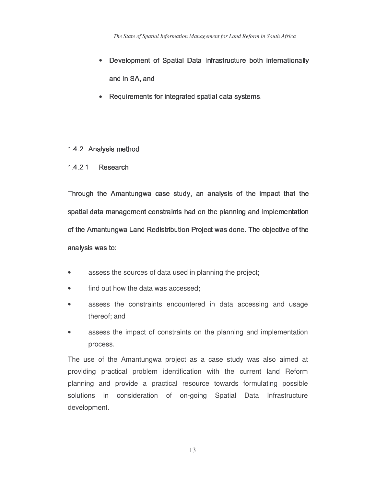- Development of Spatial Data Infrastructure both internationally - -#
- Requirements for integrated spatial data systems.

#### A1g1 - %-

1421 Research

and the set of the set of the set of the set of the set of the set of the set of the set of the set of the set of the set of the set of the set of the set of the set of the set of the set of the set of the set of the set results the contract of the contract of the contract of the contract of the contract of the contract of the con . A set of the set of the set of the set of the set of the set of the set of the set of the set of the set of the set of the set of the set of the set of the set of the set of the set of the set of the set of the set of t analysis was to:

- assess the sources of data used in planning the project;
- find out how the data was accessed;
- assess the constraints encountered in data accessing and usage thereof; and
- assess the impact of constraints on the planning and implementation process.

The use of the Amantungwa project as a case study was also aimed at providing practical problem identification with the current land Reform planning and provide a practical resource towards formulating possible solutions in consideration of on-going Spatial Data Infrastructure development.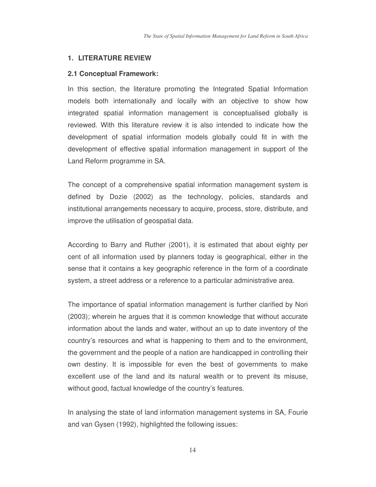#### **1. LITERATURE REVIEW**

#### **2.1 Conceptual Framework:**

In this section, the literature promoting the Integrated Spatial Information models both internationally and locally with an objective to show how integrated spatial information management is conceptualised globally is reviewed. With this literature review it is also intended to indicate how the development of spatial information models globally could fit in with the development of effective spatial information management in support of the Land Reform programme in SA.

The concept of a comprehensive spatial information management system is defined by Dozie (2002) as the technology, policies, standards and institutional arrangements necessary to acquire, process, store, distribute, and improve the utilisation of geospatial data.

According to Barry and Ruther (2001), it is estimated that about eighty per cent of all information used by planners today is geographical, either in the sense that it contains a key geographic reference in the form of a coordinate system, a street address or a reference to a particular administrative area.

The importance of spatial information management is further clarified by Nori (2003); wherein he argues that it is common knowledge that without accurate information about the lands and water, without an up to date inventory of the country's resources and what is happening to them and to the environment, the government and the people of a nation are handicapped in controlling their own destiny. It is impossible for even the best of governments to make excellent use of the land and its natural wealth or to prevent its misuse, without good, factual knowledge of the country's features.

In analysing the state of land information management systems in SA, Fourie and van Gysen (1992), highlighted the following issues: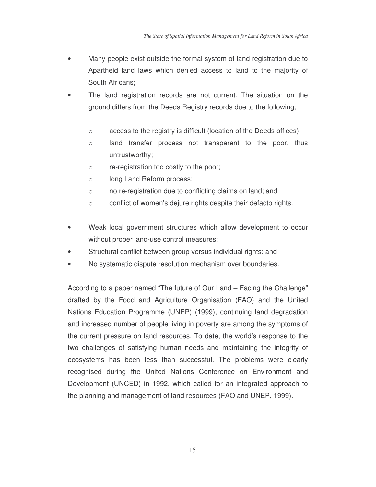- Many people exist outside the formal system of land registration due to Apartheid land laws which denied access to land to the majority of South Africans;
- The land registration records are not current. The situation on the ground differs from the Deeds Registry records due to the following;
	- o access to the registry is difficult (location of the Deeds offices);
	- o land transfer process not transparent to the poor, thus untrustworthy;
	- o re-registration too costly to the poor;
	- o long Land Reform process;
	- o no re-registration due to conflicting claims on land; and
	- o conflict of women's dejure rights despite their defacto rights.
- Weak local government structures which allow development to occur without proper land-use control measures;
- Structural conflict between group versus individual rights; and
- No systematic dispute resolution mechanism over boundaries.

According to a paper named "The future of Our Land – Facing the Challenge" drafted by the Food and Agriculture Organisation (FAO) and the United Nations Education Programme (UNEP) (1999), continuing land degradation and increased number of people living in poverty are among the symptoms of the current pressure on land resources. To date, the world's response to the two challenges of satisfying human needs and maintaining the integrity of ecosystems has been less than successful. The problems were clearly recognised during the United Nations Conference on Environment and Development (UNCED) in 1992, which called for an integrated approach to the planning and management of land resources (FAO and UNEP, 1999).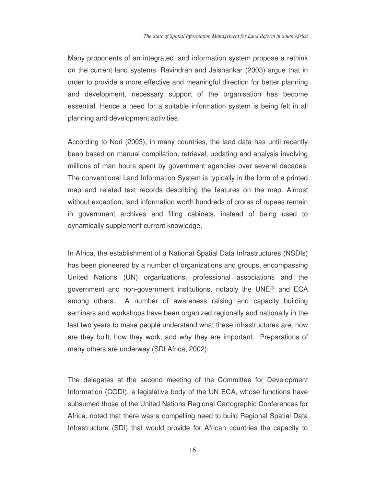Many proponents of an integrated land information system propose a rethink on the current land systems. Ravindran and Jaishankar (2003) argue that in order to provide a more effective and meaningful direction for better planning and development, necessary support of the organisation has become essential. Hence a need for a suitable information system is being felt in all planning and development activities.

According to Nori (2003), in many countries, the land data has until recently been based on manual compilation, retrieval, updating and analysis involving millions of man hours spent by government agencies over several decades. The conventional Land Information System is typically in the form of a printed map and related text records describing the features on the map. Almost without exception, land information worth hundreds of crores of rupees remain in government archives and filing cabinets, instead of being used to dynamically supplement current knowledge.

In Africa, the establishment of a National Spatial Data Infrastructures (NSDIs) has been pioneered by a number of organizations and groups, encompassing United Nations (UN) organizations, professional associations and the government and non-government institutions, notably the UNEP and ECA among others. A number of awareness raising and capacity building seminars and workshops have been organized regionally and nationally in the last two years to make people understand what these infrastructures are, how are they built, how they work, and why they are important. Preparations of many others are underway (SDI Africa, 2002).

The delegates at the second meeting of the Committee for Development Information (CODI), a legislative body of the UN ECA, whose functions have subsumed those of the United Nations Regional Cartographic Conferences for Africa, noted that there was a compelling need to build Regional Spatial Data Infrastructure (SDI) that would provide for African countries the capacity to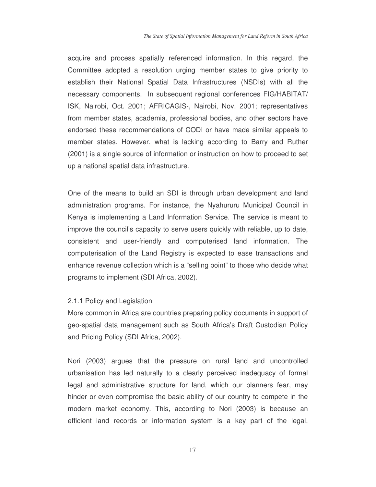acquire and process spatially referenced information. In this regard, the Committee adopted a resolution urging member states to give priority to establish their National Spatial Data Infrastructures (NSDIs) with all the necessary components. In subsequent regional conferences FIG/HABITAT/ ISK, Nairobi, Oct. 2001; AFRICAGIS-, Nairobi, Nov. 2001; representatives from member states, academia, professional bodies, and other sectors have endorsed these recommendations of CODI or have made similar appeals to member states. However, what is lacking according to Barry and Ruther (2001) is a single source of information or instruction on how to proceed to set up a national spatial data infrastructure.

One of the means to build an SDI is through urban development and land administration programs. For instance, the Nyahururu Municipal Council in Kenya is implementing a Land Information Service. The service is meant to improve the council's capacity to serve users quickly with reliable, up to date, consistent and user-friendly and computerised land information. The computerisation of the Land Registry is expected to ease transactions and enhance revenue collection which is a "selling point" to those who decide what programs to implement (SDI Africa, 2002).

#### 2.1.1 Policy and Legislation

More common in Africa are countries preparing policy documents in support of geo-spatial data management such as South Africa's Draft Custodian Policy and Pricing Policy (SDI Africa, 2002).

Nori (2003) argues that the pressure on rural land and uncontrolled urbanisation has led naturally to a clearly perceived inadequacy of formal legal and administrative structure for land, which our planners fear, may hinder or even compromise the basic ability of our country to compete in the modern market economy. This, according to Nori (2003) is because an efficient land records or information system is a key part of the legal,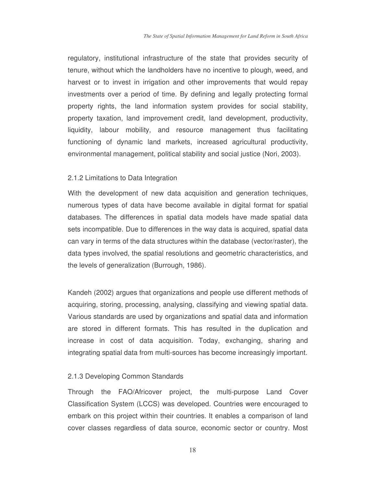regulatory, institutional infrastructure of the state that provides security of tenure, without which the landholders have no incentive to plough, weed, and harvest or to invest in irrigation and other improvements that would repay investments over a period of time. By defining and legally protecting formal property rights, the land information system provides for social stability, property taxation, land improvement credit, land development, productivity, liquidity, labour mobility, and resource management thus facilitating functioning of dynamic land markets, increased agricultural productivity, environmental management, political stability and social justice (Nori, 2003).

#### 2.1.2 Limitations to Data Integration

With the development of new data acquisition and generation techniques, numerous types of data have become available in digital format for spatial databases. The differences in spatial data models have made spatial data sets incompatible. Due to differences in the way data is acquired, spatial data can vary in terms of the data structures within the database (vector/raster), the data types involved, the spatial resolutions and geometric characteristics, and the levels of generalization (Burrough, 1986).

Kandeh (2002) argues that organizations and people use different methods of acquiring, storing, processing, analysing, classifying and viewing spatial data. Various standards are used by organizations and spatial data and information are stored in different formats. This has resulted in the duplication and increase in cost of data acquisition. Today, exchanging, sharing and integrating spatial data from multi-sources has become increasingly important.

#### 2.1.3 Developing Common Standards

Through the FAO/Africover project, the multi-purpose Land Cover Classification System (LCCS) was developed. Countries were encouraged to embark on this project within their countries. It enables a comparison of land cover classes regardless of data source, economic sector or country. Most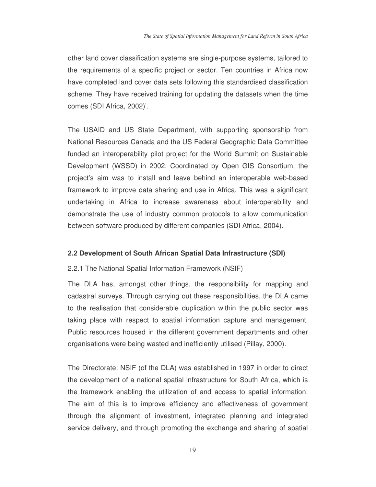other land cover classification systems are single-purpose systems, tailored to the requirements of a specific project or sector. Ten countries in Africa now have completed land cover data sets following this standardised classification scheme. They have received training for updating the datasets when the time comes (SDI Africa, 2002)'.

The USAID and US State Department, with supporting sponsorship from National Resources Canada and the US Federal Geographic Data Committee funded an interoperability pilot project for the World Summit on Sustainable Development (WSSD) in 2002. Coordinated by Open GIS Consortium, the project's aim was to install and leave behind an interoperable web-based framework to improve data sharing and use in Africa. This was a significant undertaking in Africa to increase awareness about interoperability and demonstrate the use of industry common protocols to allow communication between software produced by different companies (SDI Africa, 2004).

#### **2.2 Development of South African Spatial Data Infrastructure (SDI)**

#### 2.2.1 The National Spatial Information Framework (NSIF)

The DLA has, amongst other things, the responsibility for mapping and cadastral surveys. Through carrying out these responsibilities, the DLA came to the realisation that considerable duplication within the public sector was taking place with respect to spatial information capture and management. Public resources housed in the different government departments and other organisations were being wasted and inefficiently utilised (Pillay, 2000).

The Directorate: NSIF (of the DLA) was established in 1997 in order to direct the development of a national spatial infrastructure for South Africa, which is the framework enabling the utilization of and access to spatial information. The aim of this is to improve efficiency and effectiveness of government through the alignment of investment, integrated planning and integrated service delivery, and through promoting the exchange and sharing of spatial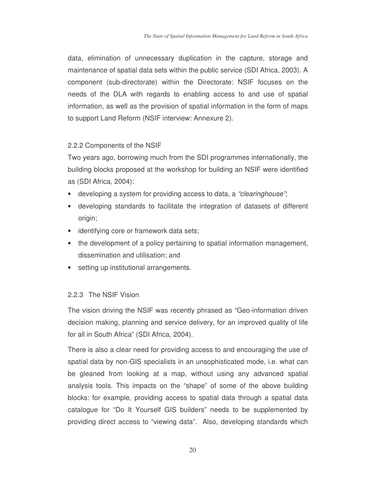data, elimination of unnecessary duplication in the capture, storage and maintenance of spatial data sets within the public service (SDI Africa, 2003). A component (sub-directorate) within the Directorate: NSIF focuses on the needs of the DLA with regards to enabling access to and use of spatial information, as well as the provision of spatial information in the form of maps to support Land Reform (NSIF interview: Annexure 2).

#### 2.2.2 Components of the NSIF

Two years ago, borrowing much from the SDI programmes internationally, the building blocks proposed at the workshop for building an NSIF were identified as (SDI Africa, 2004):

- developing a system for providing access to data, a *"clearinghouse"*;
- developing standards to facilitate the integration of datasets of different origin;
- identifying core or framework data sets;
- the development of a policy pertaining to spatial information management, dissemination and utilisation; and
- setting up institutional arrangements.

#### 2.2.3 The NSIF Vision

The vision driving the NSIF was recently phrased as "Geo-information driven decision making, planning and service delivery, for an improved quality of life for all in South Africa" (SDI Africa, 2004).

There is also a clear need for providing access to and encouraging the use of spatial data by non-GIS specialists in an unsophisticated mode, i.e. what can be gleaned from looking at a map, without using any advanced spatial analysis tools. This impacts on the "shape" of some of the above building blocks: for example, providing access to spatial data through a spatial data catalogue for "Do It Yourself GIS builders" needs to be supplemented by providing direct access to "viewing data". Also, developing standards which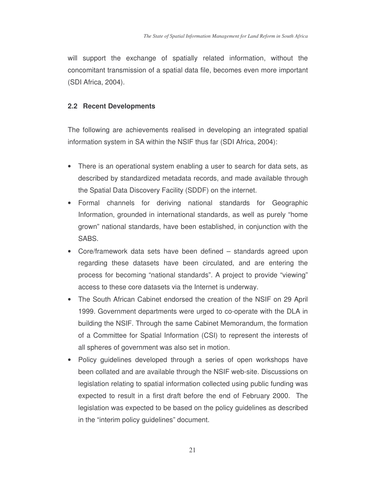will support the exchange of spatially related information, without the concomitant transmission of a spatial data file, becomes even more important (SDI Africa, 2004).

#### **2.2 Recent Developments**

The following are achievements realised in developing an integrated spatial information system in SA within the NSIF thus far (SDI Africa, 2004):

- There is an operational system enabling a user to search for data sets, as described by standardized metadata records, and made available through the Spatial Data Discovery Facility (SDDF) on the internet.
- Formal channels for deriving national standards for Geographic Information, grounded in international standards, as well as purely "home grown" national standards, have been established, in conjunction with the SABS.
- Core/framework data sets have been defined standards agreed upon regarding these datasets have been circulated, and are entering the process for becoming "national standards". A project to provide "viewing" access to these core datasets via the Internet is underway.
- The South African Cabinet endorsed the creation of the NSIF on 29 April 1999. Government departments were urged to co-operate with the DLA in building the NSIF. Through the same Cabinet Memorandum, the formation of a Committee for Spatial Information (CSI) to represent the interests of all spheres of government was also set in motion.
- Policy guidelines developed through a series of open workshops have been collated and are available through the NSIF web-site. Discussions on legislation relating to spatial information collected using public funding was expected to result in a first draft before the end of February 2000. The legislation was expected to be based on the policy guidelines as described in the "interim policy guidelines" document.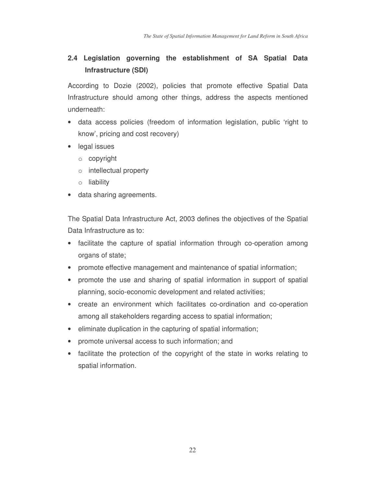### **2.4 Legislation governing the establishment of SA Spatial Data Infrastructure (SDI)**

According to Dozie (2002), policies that promote effective Spatial Data Infrastructure should among other things, address the aspects mentioned underneath:

- data access policies (freedom of information legislation, public 'right to know', pricing and cost recovery)
- legal issues
	- o copyright
	- o intellectual property
	- o liability
- data sharing agreements.

The Spatial Data Infrastructure Act, 2003 defines the objectives of the Spatial Data Infrastructure as to:

- facilitate the capture of spatial information through co-operation among organs of state;
- promote effective management and maintenance of spatial information;
- promote the use and sharing of spatial information in support of spatial planning, socio-economic development and related activities;
- create an environment which facilitates co-ordination and co-operation among all stakeholders regarding access to spatial information;
- eliminate duplication in the capturing of spatial information;
- promote universal access to such information; and
- facilitate the protection of the copyright of the state in works relating to spatial information.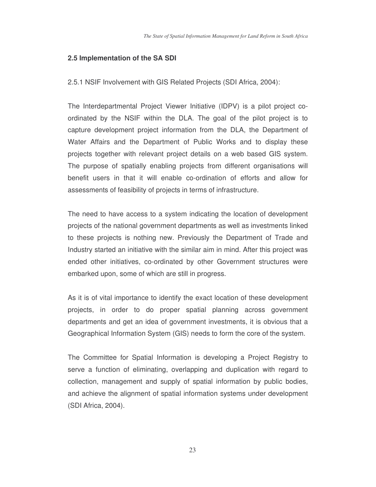#### **2.5 Implementation of the SA SDI**

2.5.1 NSIF Involvement with GIS Related Projects (SDI Africa, 2004):

The Interdepartmental Project Viewer Initiative (IDPV) is a pilot project coordinated by the NSIF within the DLA. The goal of the pilot project is to capture development project information from the DLA, the Department of Water Affairs and the Department of Public Works and to display these projects together with relevant project details on a web based GIS system. The purpose of spatially enabling projects from different organisations will benefit users in that it will enable co-ordination of efforts and allow for assessments of feasibility of projects in terms of infrastructure.

The need to have access to a system indicating the location of development projects of the national government departments as well as investments linked to these projects is nothing new. Previously the Department of Trade and Industry started an initiative with the similar aim in mind. After this project was ended other initiatives, co-ordinated by other Government structures were embarked upon, some of which are still in progress.

As it is of vital importance to identify the exact location of these development projects, in order to do proper spatial planning across government departments and get an idea of government investments, it is obvious that a Geographical Information System (GIS) needs to form the core of the system.

The Committee for Spatial Information is developing a Project Registry to serve a function of eliminating, overlapping and duplication with regard to collection, management and supply of spatial information by public bodies, and achieve the alignment of spatial information systems under development (SDI Africa, 2004).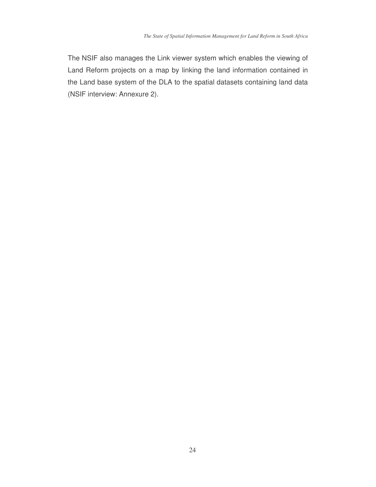The NSIF also manages the Link viewer system which enables the viewing of Land Reform projects on a map by linking the land information contained in the Land base system of the DLA to the spatial datasets containing land data (NSIF interview: Annexure 2).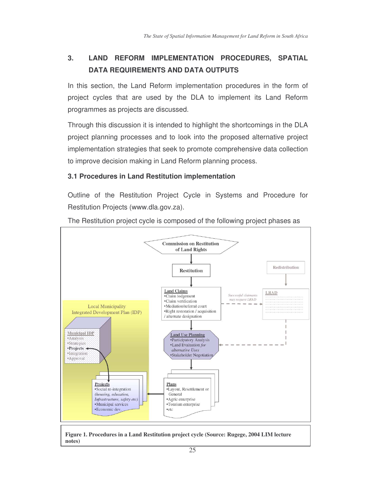### **3. LAND REFORM IMPLEMENTATION PROCEDURES, SPATIAL DATA REQUIREMENTS AND DATA OUTPUTS**

In this section, the Land Reform implementation procedures in the form of project cycles that are used by the DLA to implement its Land Reform programmes as projects are discussed.

Through this discussion it is intended to highlight the shortcomings in the DLA project planning processes and to look into the proposed alternative project implementation strategies that seek to promote comprehensive data collection to improve decision making in Land Reform planning process.

#### **3.1 Procedures in Land Restitution implementation**

Outline of the Restitution Project Cycle in Systems and Procedure for Restitution Projects (www.dla.gov.za).



The Restitution project cycle is composed of the following project phases as

**Figure 1. Procedures in a Land Restitution project cycle (Source: Rugege, 2004 LIM lecture notes)**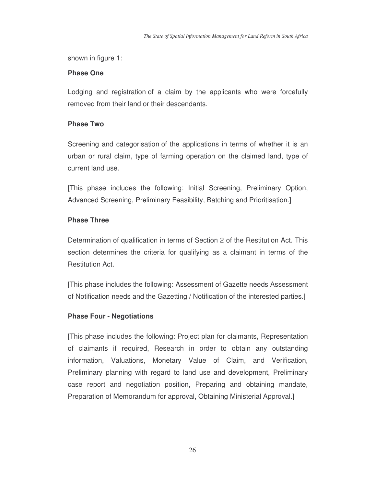shown in figure 1:

#### **Phase One**

Lodging and registration of a claim by the applicants who were forcefully removed from their land or their descendants.

#### **Phase Two**

Screening and categorisation of the applications in terms of whether it is an urban or rural claim, type of farming operation on the claimed land, type of current land use.

[This phase includes the following: Initial Screening, Preliminary Option, Advanced Screening, Preliminary Feasibility, Batching and Prioritisation.]

#### **Phase Three**

Determination of qualification in terms of Section 2 of the Restitution Act. This section determines the criteria for qualifying as a claimant in terms of the Restitution Act.

[This phase includes the following: Assessment of Gazette needs Assessment of Notification needs and the Gazetting / Notification of the interested parties.]

#### **Phase Four - Negotiations**

[This phase includes the following: Project plan for claimants, Representation of claimants if required, Research in order to obtain any outstanding information, Valuations, Monetary Value of Claim, and Verification, Preliminary planning with regard to land use and development, Preliminary case report and negotiation position, Preparing and obtaining mandate, Preparation of Memorandum for approval, Obtaining Ministerial Approval.]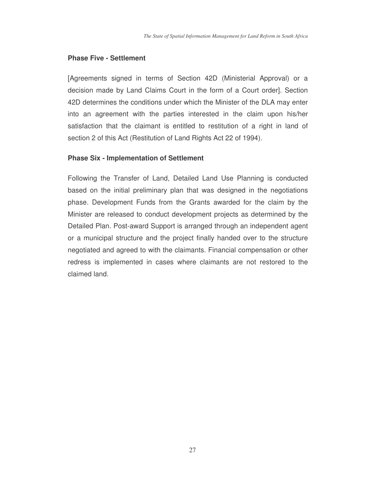### **Phase Five - Settlement**

[Agreements signed in terms of Section 42D (Ministerial Approval) or a decision made by Land Claims Court in the form of a Court order]. Section 42D determines the conditions under which the Minister of the DLA may enter into an agreement with the parties interested in the claim upon his/her satisfaction that the claimant is entitled to restitution of a right in land of section 2 of this Act (Restitution of Land Rights Act 22 of 1994).

### **Phase Six - Implementation of Settlement**

Following the Transfer of Land, Detailed Land Use Planning is conducted based on the initial preliminary plan that was designed in the negotiations phase. Development Funds from the Grants awarded for the claim by the Minister are released to conduct development projects as determined by the Detailed Plan. Post-award Support is arranged through an independent agent or a municipal structure and the project finally handed over to the structure negotiated and agreed to with the claimants. Financial compensation or other redress is implemented in cases where claimants are not restored to the claimed land.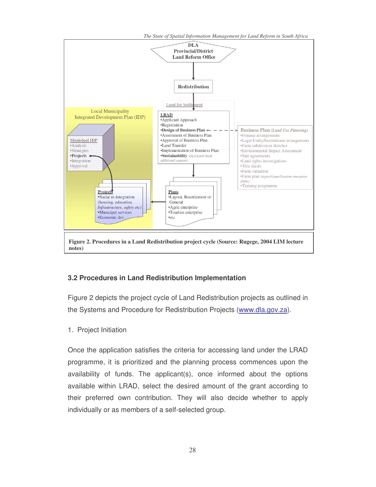*The State of Spatial Information Management for Land Reform in South Africa*



### **3.2 Procedures in Land Redistribution Implementation**

Figure 2 depicts the project cycle of Land Redistribution projects as outlined in the Systems and Procedure for Redistribution Projects (www.dla.gov.za).

1. Project Initiation

Once the application satisfies the criteria for accessing land under the LRAD programme, it is prioritized and the planning process commences upon the availability of funds. The applicant(s), once informed about the options available within LRAD, select the desired amount of the grant according to their preferred own contribution. They will also decide whether to apply individually or as members of a self-selected group.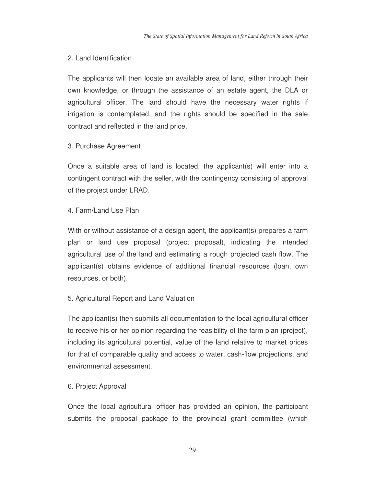### 2. Land Identification

The applicants will then locate an available area of land, either through their own knowledge, or through the assistance of an estate agent, the DLA or agricultural officer. The land should have the necessary water rights if irrigation is contemplated, and the rights should be specified in the sale contract and reflected in the land price.

### 3. Purchase Agreement

Once a suitable area of land is located, the applicant(s) will enter into a contingent contract with the seller, with the contingency consisting of approval of the project under LRAD.

### 4. Farm/Land Use Plan

With or without assistance of a design agent, the applicant(s) prepares a farm plan or land use proposal (project proposal), indicating the intended agricultural use of the land and estimating a rough projected cash flow. The applicant(s) obtains evidence of additional financial resources (loan, own resources, or both).

## 5. Agricultural Report and Land Valuation

The applicant(s) then submits all documentation to the local agricultural officer to receive his or her opinion regarding the feasibility of the farm plan (project), including its agricultural potential, value of the land relative to market prices for that of comparable quality and access to water, cash-flow projections, and environmental assessment.

### 6. Project Approval

Once the local agricultural officer has provided an opinion, the participant submits the proposal package to the provincial grant committee (which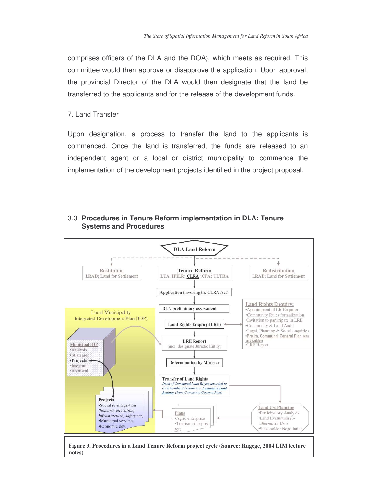comprises officers of the DLA and the DOA), which meets as required. This committee would then approve or disapprove the application. Upon approval, the provincial Director of the DLA would then designate that the land be transferred to the applicants and for the release of the development funds.

### 7. Land Transfer

Upon designation, a process to transfer the land to the applicants is commenced. Once the land is transferred, the funds are released to an independent agent or a local or district municipality to commence the implementation of the development projects identified in the project proposal.



## 3.3 **Procedures in Tenure Reform implementation in DLA: Tenure Systems and Procedures**

30 **Figure 3. Procedures in a Land Tenure Reform project cycle (Source: Rugege, 2004 LIM lecture notes)**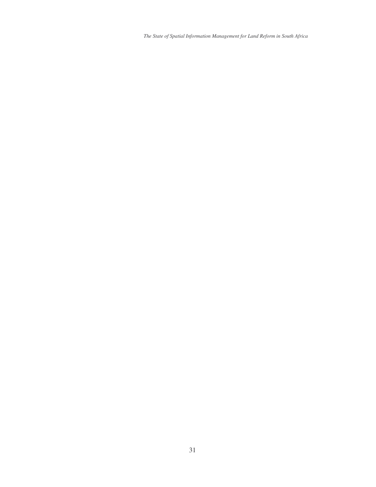*The State of Spatial Information Management for Land Reform in South Africa*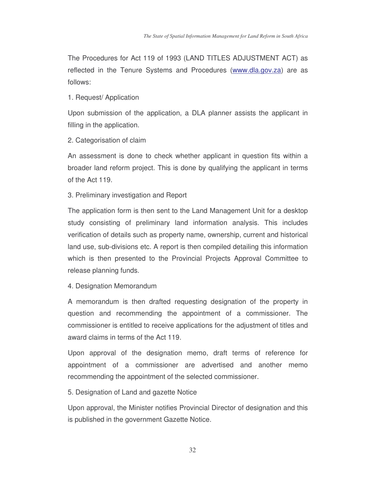The Procedures for Act 119 of 1993 (LAND TITLES ADJUSTMENT ACT) as reflected in the Tenure Systems and Procedures (www.dla.gov.za) are as follows:

## 1. Request/ Application

Upon submission of the application, a DLA planner assists the applicant in filling in the application.

## 2. Categorisation of claim

An assessment is done to check whether applicant in question fits within a broader land reform project. This is done by qualifying the applicant in terms of the Act 119.

## 3. Preliminary investigation and Report

The application form is then sent to the Land Management Unit for a desktop study consisting of preliminary land information analysis. This includes verification of details such as property name, ownership, current and historical land use, sub-divisions etc. A report is then compiled detailing this information which is then presented to the Provincial Projects Approval Committee to release planning funds.

4. Designation Memorandum

A memorandum is then drafted requesting designation of the property in question and recommending the appointment of a commissioner. The commissioner is entitled to receive applications for the adjustment of titles and award claims in terms of the Act 119.

Upon approval of the designation memo, draft terms of reference for appointment of a commissioner are advertised and another memo recommending the appointment of the selected commissioner.

# 5. Designation of Land and gazette Notice

Upon approval, the Minister notifies Provincial Director of designation and this is published in the government Gazette Notice.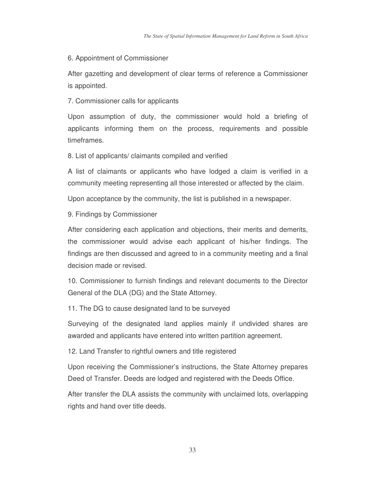## 6. Appointment of Commissioner

After gazetting and development of clear terms of reference a Commissioner is appointed.

7. Commissioner calls for applicants

Upon assumption of duty, the commissioner would hold a briefing of applicants informing them on the process, requirements and possible timeframes.

8. List of applicants/ claimants compiled and verified

A list of claimants or applicants who have lodged a claim is verified in a community meeting representing all those interested or affected by the claim.

Upon acceptance by the community, the list is published in a newspaper.

9. Findings by Commissioner

After considering each application and objections, their merits and demerits, the commissioner would advise each applicant of his/her findings. The findings are then discussed and agreed to in a community meeting and a final decision made or revised.

10. Commissioner to furnish findings and relevant documents to the Director General of the DLA (DG) and the State Attorney.

11. The DG to cause designated land to be surveyed

Surveying of the designated land applies mainly if undivided shares are awarded and applicants have entered into written partition agreement.

12. Land Transfer to rightful owners and title registered

Upon receiving the Commissioner's instructions, the State Attorney prepares Deed of Transfer. Deeds are lodged and registered with the Deeds Office.

After transfer the DLA assists the community with unclaimed lots, overlapping rights and hand over title deeds.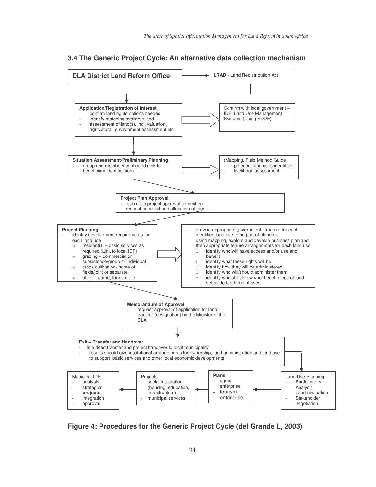



**Figure 4: Procedures for the Generic Project Cycle (del Grande L, 2003)**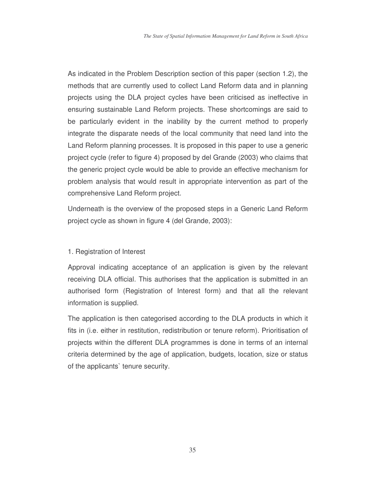As indicated in the Problem Description section of this paper (section 1.2), the methods that are currently used to collect Land Reform data and in planning projects using the DLA project cycles have been criticised as ineffective in ensuring sustainable Land Reform projects. These shortcomings are said to be particularly evident in the inability by the current method to properly integrate the disparate needs of the local community that need land into the Land Reform planning processes. It is proposed in this paper to use a generic project cycle (refer to figure 4) proposed by del Grande (2003) who claims that the generic project cycle would be able to provide an effective mechanism for problem analysis that would result in appropriate intervention as part of the comprehensive Land Reform project.

Underneath is the overview of the proposed steps in a Generic Land Reform project cycle as shown in figure 4 (del Grande, 2003):

## 1. Registration of Interest

Approval indicating acceptance of an application is given by the relevant receiving DLA official. This authorises that the application is submitted in an authorised form (Registration of Interest form) and that all the relevant information is supplied.

The application is then categorised according to the DLA products in which it fits in (i.e. either in restitution, redistribution or tenure reform). Prioritisation of projects within the different DLA programmes is done in terms of an internal criteria determined by the age of application, budgets, location, size or status of the applicants tenure security.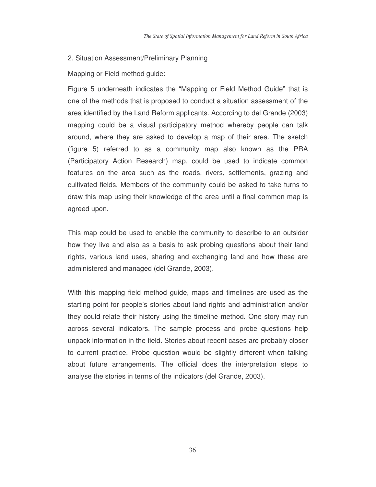### 2. Situation Assessment/Preliminary Planning

### Mapping or Field method guide:

Figure 5 underneath indicates the "Mapping or Field Method Guide" that is one of the methods that is proposed to conduct a situation assessment of the area identified by the Land Reform applicants. According to del Grande (2003) mapping could be a visual participatory method whereby people can talk around, where they are asked to develop a map of their area. The sketch (figure 5) referred to as a community map also known as the PRA (Participatory Action Research) map, could be used to indicate common features on the area such as the roads, rivers, settlements, grazing and cultivated fields. Members of the community could be asked to take turns to draw this map using their knowledge of the area until a final common map is agreed upon.

This map could be used to enable the community to describe to an outsider how they live and also as a basis to ask probing questions about their land rights, various land uses, sharing and exchanging land and how these are administered and managed (del Grande, 2003).

With this mapping field method guide, maps and timelines are used as the starting point for people's stories about land rights and administration and/or they could relate their history using the timeline method. One story may run across several indicators. The sample process and probe questions help unpack information in the field. Stories about recent cases are probably closer to current practice. Probe question would be slightly different when talking about future arrangements. The official does the interpretation steps to analyse the stories in terms of the indicators (del Grande, 2003).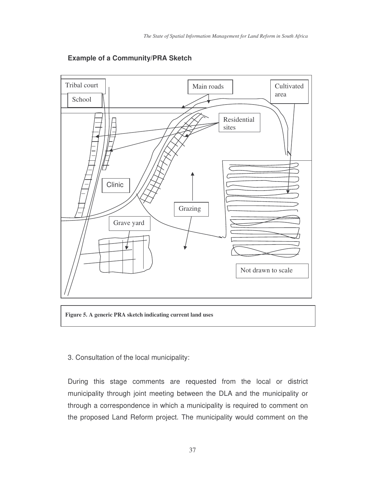

#### **Example of a Community/PRA Sketch**

**Figure 5. A generic PRA sketch indicating current land uses**

3. Consultation of the local municipality:

During this stage comments are requested from the local or district municipality through joint meeting between the DLA and the municipality or through a correspondence in which a municipality is required to comment on the proposed Land Reform project. The municipality would comment on the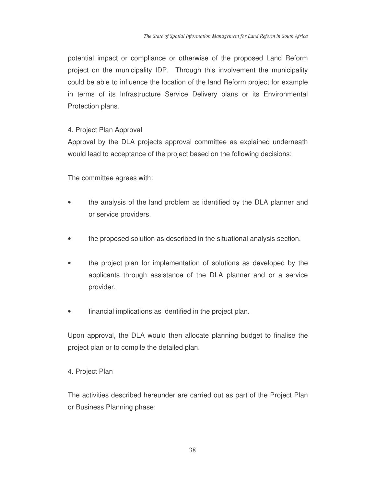potential impact or compliance or otherwise of the proposed Land Reform project on the municipality IDP. Through this involvement the municipality could be able to influence the location of the land Reform project for example in terms of its Infrastructure Service Delivery plans or its Environmental Protection plans.

# 4. Project Plan Approval

Approval by the DLA projects approval committee as explained underneath would lead to acceptance of the project based on the following decisions:

The committee agrees with:

- the analysis of the land problem as identified by the DLA planner and or service providers.
- the proposed solution as described in the situational analysis section.
- the project plan for implementation of solutions as developed by the applicants through assistance of the DLA planner and or a service provider.
- financial implications as identified in the project plan.

Upon approval, the DLA would then allocate planning budget to finalise the project plan or to compile the detailed plan.

## 4. Project Plan

The activities described hereunder are carried out as part of the Project Plan or Business Planning phase: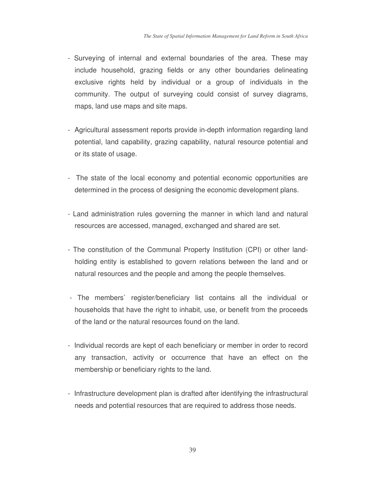- Surveying of internal and external boundaries of the area. These may include household, grazing fields or any other boundaries delineating exclusive rights held by individual or a group of individuals in the community. The output of surveying could consist of survey diagrams, maps, land use maps and site maps.
- Agricultural assessment reports provide in-depth information regarding land potential, land capability, grazing capability, natural resource potential and or its state of usage.
- The state of the local economy and potential economic opportunities are determined in the process of designing the economic development plans.
- Land administration rules governing the manner in which land and natural resources are accessed, managed, exchanged and shared are set.
- The constitution of the Communal Property Institution (CPI) or other landholding entity is established to govern relations between the land and or natural resources and the people and among the people themselves.
- The members` register/beneficiary list contains all the individual or households that have the right to inhabit, use, or benefit from the proceeds of the land or the natural resources found on the land.
- Individual records are kept of each beneficiary or member in order to record any transaction, activity or occurrence that have an effect on the membership or beneficiary rights to the land.
- Infrastructure development plan is drafted after identifying the infrastructural needs and potential resources that are required to address those needs.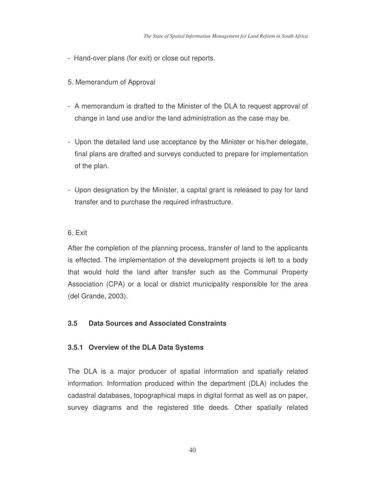- Hand-over plans (for exit) or close out reports.
- 5. Memorandum of Approval
- A memorandum is drafted to the Minister of the DLA to request approval of change in land use and/or the land administration as the case may be.
- Upon the detailed land use acceptance by the Minister or his/her delegate, final plans are drafted and surveys conducted to prepare for implementation of the plan.
- Upon designation by the Minister, a capital grant is released to pay for land transfer and to purchase the required infrastructure.
- 6. Exit

After the completion of the planning process, transfer of land to the applicants is effected. The implementation of the development projects is left to a body that would hold the land after transfer such as the Communal Property Association (CPA) or a local or district municipality responsible for the area (del Grande, 2003).

## **3.5 Data Sources and Associated Constraints**

### **3.5.1 Overview of the DLA Data Systems**

The DLA is a major producer of spatial information and spatially related information. Information produced within the department (DLA) includes the cadastral databases, topographical maps in digital format as well as on paper, survey diagrams and the registered title deeds. Other spatially related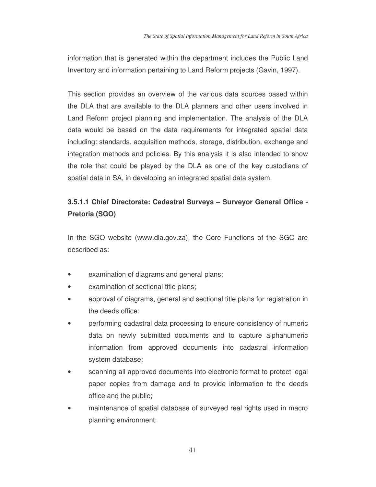information that is generated within the department includes the Public Land Inventory and information pertaining to Land Reform projects (Gavin, 1997).

This section provides an overview of the various data sources based within the DLA that are available to the DLA planners and other users involved in Land Reform project planning and implementation. The analysis of the DLA data would be based on the data requirements for integrated spatial data including: standards, acquisition methods, storage, distribution, exchange and integration methods and policies. By this analysis it is also intended to show the role that could be played by the DLA as one of the key custodians of spatial data in SA, in developing an integrated spatial data system.

# **3.5.1.1 Chief Directorate: Cadastral Surveys – Surveyor General Office - Pretoria (SGO)**

In the SGO website (www.dla.gov.za), the Core Functions of the SGO are described as:

- examination of diagrams and general plans;
- examination of sectional title plans;
- approval of diagrams, general and sectional title plans for registration in the deeds office;
- performing cadastral data processing to ensure consistency of numeric data on newly submitted documents and to capture alphanumeric information from approved documents into cadastral information system database;
- scanning all approved documents into electronic format to protect legal paper copies from damage and to provide information to the deeds office and the public;
- maintenance of spatial database of surveyed real rights used in macro planning environment;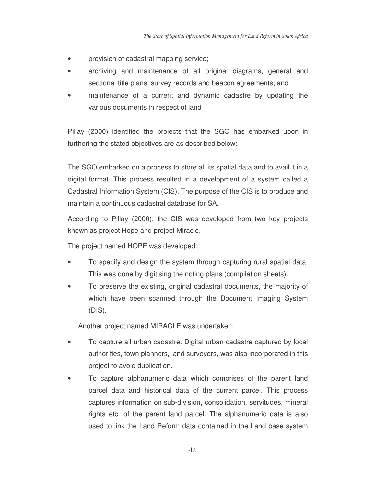- provision of cadastral mapping service;
- archiving and maintenance of all original diagrams, general and sectional title plans, survey records and beacon agreements; and
- maintenance of a current and dynamic cadastre by updating the various documents in respect of land

Pillay (2000) identified the projects that the SGO has embarked upon in furthering the stated objectives are as described below:

The SGO embarked on a process to store all its spatial data and to avail it in a digital format. This process resulted in a development of a system called a Cadastral Information System (CIS). The purpose of the CIS is to produce and maintain a continuous cadastral database for SA.

According to Pillay (2000), the CIS was developed from two key projects known as project Hope and project Miracle.

The project named HOPE was developed:

- To specify and design the system through capturing rural spatial data. This was done by digitising the noting plans (compilation sheets).
- To preserve the existing, original cadastral documents, the majority of which have been scanned through the Document Imaging System (DIS).

Another project named MIRACLE was undertaken:

- To capture all urban cadastre. Digital urban cadastre captured by local authorities, town planners, land surveyors, was also incorporated in this project to avoid duplication.
- To capture alphanumeric data which comprises of the parent land parcel data and historical data of the current parcel. This process captures information on sub-division, consolidation, servitudes, mineral rights etc. of the parent land parcel. The alphanumeric data is also used to link the Land Reform data contained in the Land base system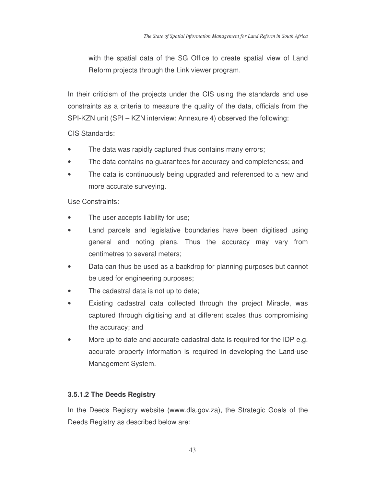with the spatial data of the SG Office to create spatial view of Land Reform projects through the Link viewer program.

In their criticism of the projects under the CIS using the standards and use constraints as a criteria to measure the quality of the data, officials from the SPI-KZN unit (SPI – KZN interview: Annexure 4) observed the following:

CIS Standards:

- The data was rapidly captured thus contains many errors;
- The data contains no guarantees for accuracy and completeness; and
- The data is continuously being upgraded and referenced to a new and more accurate surveying.

Use Constraints:

- The user accepts liability for use;
- Land parcels and legislative boundaries have been digitised using general and noting plans. Thus the accuracy may vary from centimetres to several meters;
- Data can thus be used as a backdrop for planning purposes but cannot be used for engineering purposes;
- The cadastral data is not up to date;
- Existing cadastral data collected through the project Miracle, was captured through digitising and at different scales thus compromising the accuracy; and
- More up to date and accurate cadastral data is required for the IDP e.g. accurate property information is required in developing the Land-use Management System.

# **3.5.1.2 The Deeds Registry**

In the Deeds Registry website (www.dla.gov.za), the Strategic Goals of the Deeds Registry as described below are: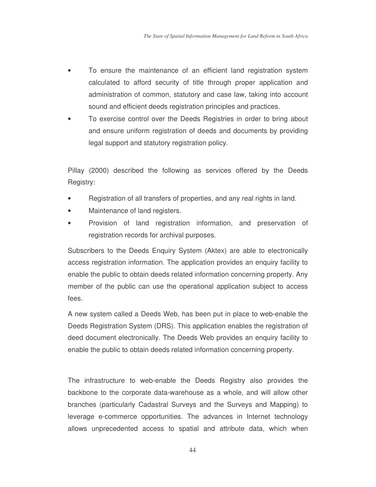- To ensure the maintenance of an efficient land registration system calculated to afford security of title through proper application and administration of common, statutory and case law, taking into account sound and efficient deeds registration principles and practices.
- To exercise control over the Deeds Registries in order to bring about and ensure uniform registration of deeds and documents by providing legal support and statutory registration policy.

Pillay (2000) described the following as services offered by the Deeds Registry:

- Registration of all transfers of properties, and any real rights in land.
- Maintenance of land registers.
- Provision of land registration information, and preservation of registration records for archival purposes.

Subscribers to the Deeds Enquiry System (Aktex) are able to electronically access registration information. The application provides an enquiry facility to enable the public to obtain deeds related information concerning property. Any member of the public can use the operational application subject to access fees.

A new system called a Deeds Web, has been put in place to web-enable the Deeds Registration System (DRS). This application enables the registration of deed document electronically. The Deeds Web provides an enquiry facility to enable the public to obtain deeds related information concerning property.

The infrastructure to web-enable the Deeds Registry also provides the backbone to the corporate data-warehouse as a whole, and will allow other branches (particularly Cadastral Surveys and the Surveys and Mapping) to leverage e-commerce opportunities. The advances in Internet technology allows unprecedented access to spatial and attribute data, which when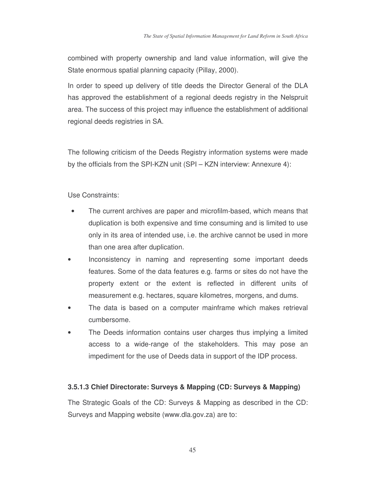combined with property ownership and land value information, will give the State enormous spatial planning capacity (Pillay, 2000).

In order to speed up delivery of title deeds the Director General of the DLA has approved the establishment of a regional deeds registry in the Nelspruit area. The success of this project may influence the establishment of additional regional deeds registries in SA.

The following criticism of the Deeds Registry information systems were made by the officials from the SPI-KZN unit (SPI – KZN interview: Annexure 4):

Use Constraints:

- The current archives are paper and microfilm-based, which means that duplication is both expensive and time consuming and is limited to use only in its area of intended use, i.e. the archive cannot be used in more than one area after duplication.
- Inconsistency in naming and representing some important deeds features. Some of the data features e.g. farms or sites do not have the property extent or the extent is reflected in different units of measurement e.g. hectares, square kilometres, morgens, and dums.
- The data is based on a computer mainframe which makes retrieval cumbersome.
- The Deeds information contains user charges thus implying a limited access to a wide-range of the stakeholders. This may pose an impediment for the use of Deeds data in support of the IDP process.

# **3.5.1.3 Chief Directorate: Surveys & Mapping (CD: Surveys & Mapping)**

The Strategic Goals of the CD: Surveys & Mapping as described in the CD: Surveys and Mapping website (www.dla.gov.za) are to: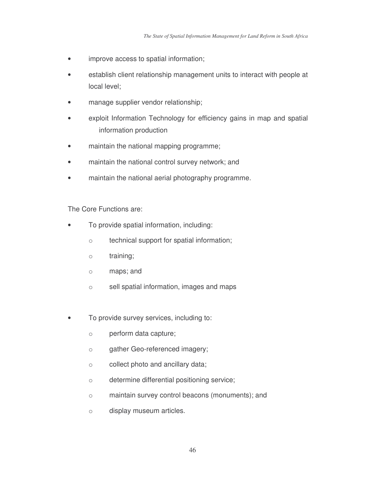- improve access to spatial information;
- establish client relationship management units to interact with people at local level;
- manage supplier vendor relationship;
- exploit Information Technology for efficiency gains in map and spatial information production
- maintain the national mapping programme;
- maintain the national control survey network; and
- maintain the national aerial photography programme.

The Core Functions are:

- To provide spatial information, including:
	- o technical support for spatial information;
	- o training;
	- o maps; and
	- o sell spatial information, images and maps
- To provide survey services, including to:
	- o perform data capture;
	- o gather Geo-referenced imagery;
	- o collect photo and ancillary data;
	- o determine differential positioning service;
	- o maintain survey control beacons (monuments); and
	- o display museum articles.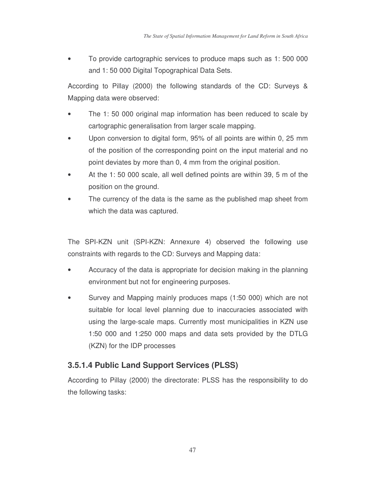• To provide cartographic services to produce maps such as 1: 500 000 and 1: 50 000 Digital Topographical Data Sets.

According to Pillay (2000) the following standards of the CD: Surveys & Mapping data were observed:

- The 1: 50 000 original map information has been reduced to scale by cartographic generalisation from larger scale mapping.
- Upon conversion to digital form, 95% of all points are within 0, 25 mm of the position of the corresponding point on the input material and no point deviates by more than 0, 4 mm from the original position.
- At the 1: 50 000 scale, all well defined points are within 39, 5 m of the position on the ground.
- The currency of the data is the same as the published map sheet from which the data was captured.

The SPI-KZN unit (SPI-KZN: Annexure 4) observed the following use constraints with regards to the CD: Surveys and Mapping data:

- Accuracy of the data is appropriate for decision making in the planning environment but not for engineering purposes.
- Survey and Mapping mainly produces maps (1:50 000) which are not suitable for local level planning due to inaccuracies associated with using the large-scale maps. Currently most municipalities in KZN use 1:50 000 and 1:250 000 maps and data sets provided by the DTLG (KZN) for the IDP processes

# **3.5.1.4 Public Land Support Services (PLSS)**

According to Pillay (2000) the directorate: PLSS has the responsibility to do the following tasks: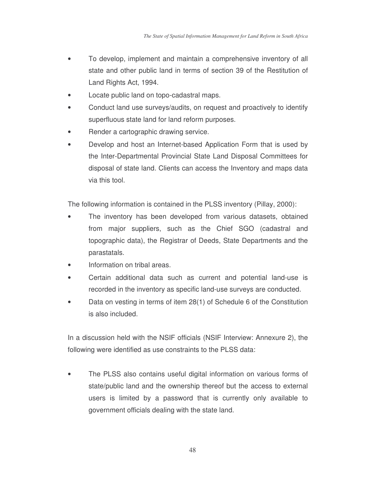- To develop, implement and maintain a comprehensive inventory of all state and other public land in terms of section 39 of the Restitution of Land Rights Act, 1994.
- Locate public land on topo-cadastral maps.
- Conduct land use surveys/audits, on request and proactively to identify superfluous state land for land reform purposes.
- Render a cartographic drawing service.
- Develop and host an Internet-based Application Form that is used by the Inter-Departmental Provincial State Land Disposal Committees for disposal of state land. Clients can access the Inventory and maps data via this tool.

The following information is contained in the PLSS inventory (Pillay, 2000):

- The inventory has been developed from various datasets, obtained from major suppliers, such as the Chief SGO (cadastral and topographic data), the Registrar of Deeds, State Departments and the parastatals.
- Information on tribal areas.
- Certain additional data such as current and potential land-use is recorded in the inventory as specific land-use surveys are conducted.
- Data on vesting in terms of item 28(1) of Schedule 6 of the Constitution is also included.

In a discussion held with the NSIF officials (NSIF Interview: Annexure 2), the following were identified as use constraints to the PLSS data:

• The PLSS also contains useful digital information on various forms of state/public land and the ownership thereof but the access to external users is limited by a password that is currently only available to government officials dealing with the state land.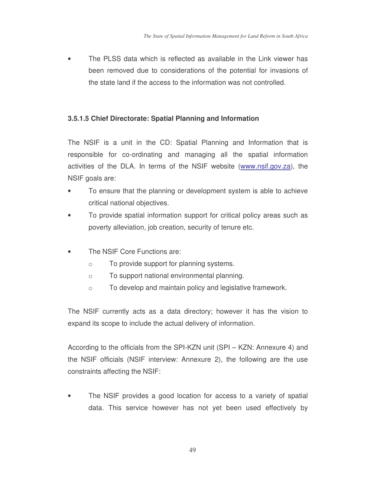• The PLSS data which is reflected as available in the Link viewer has been removed due to considerations of the potential for invasions of the state land if the access to the information was not controlled.

# **3.5.1.5 Chief Directorate: Spatial Planning and Information**

The NSIF is a unit in the CD: Spatial Planning and Information that is responsible for co-ordinating and managing all the spatial information activities of the DLA. In terms of the NSIF website (www.nsif.gov.za), the NSIF goals are:

- To ensure that the planning or development system is able to achieve critical national objectives.
- To provide spatial information support for critical policy areas such as poverty alleviation, job creation, security of tenure etc.
- The NSIF Core Functions are:
	- o To provide support for planning systems.
	- o To support national environmental planning.
	- o To develop and maintain policy and legislative framework.

The NSIF currently acts as a data directory; however it has the vision to expand its scope to include the actual delivery of information.

According to the officials from the SPI-KZN unit (SPI – KZN: Annexure 4) and the NSIF officials (NSIF interview: Annexure 2), the following are the use constraints affecting the NSIF:

• The NSIF provides a good location for access to a variety of spatial data. This service however has not yet been used effectively by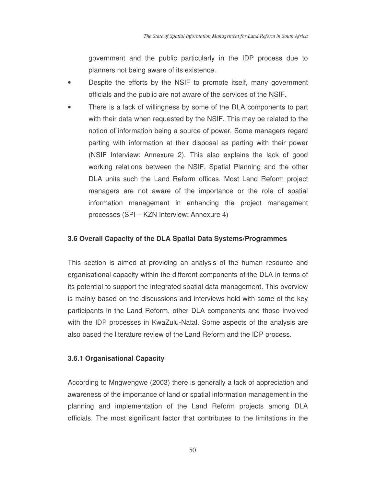government and the public particularly in the IDP process due to planners not being aware of its existence.

- Despite the efforts by the NSIF to promote itself, many government officials and the public are not aware of the services of the NSIF.
- There is a lack of willingness by some of the DLA components to part with their data when requested by the NSIF. This may be related to the notion of information being a source of power. Some managers regard parting with information at their disposal as parting with their power (NSIF Interview: Annexure 2). This also explains the lack of good working relations between the NSIF, Spatial Planning and the other DLA units such the Land Reform offices. Most Land Reform project managers are not aware of the importance or the role of spatial information management in enhancing the project management processes (SPI – KZN Interview: Annexure 4)

## **3.6 Overall Capacity of the DLA Spatial Data Systems/Programmes**

This section is aimed at providing an analysis of the human resource and organisational capacity within the different components of the DLA in terms of its potential to support the integrated spatial data management. This overview is mainly based on the discussions and interviews held with some of the key participants in the Land Reform, other DLA components and those involved with the IDP processes in KwaZulu-Natal. Some aspects of the analysis are also based the literature review of the Land Reform and the IDP process.

## **3.6.1 Organisational Capacity**

According to Mngwengwe (2003) there is generally a lack of appreciation and awareness of the importance of land or spatial information management in the planning and implementation of the Land Reform projects among DLA officials. The most significant factor that contributes to the limitations in the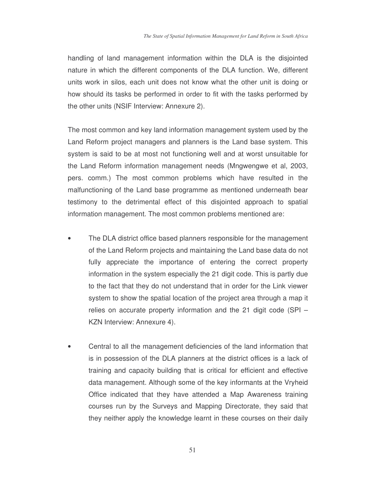handling of land management information within the DLA is the disjointed nature in which the different components of the DLA function. We, different units work in silos, each unit does not know what the other unit is doing or how should its tasks be performed in order to fit with the tasks performed by the other units (NSIF Interview: Annexure 2).

The most common and key land information management system used by the Land Reform project managers and planners is the Land base system. This system is said to be at most not functioning well and at worst unsuitable for the Land Reform information management needs (Mngwengwe et al, 2003, pers. comm.) The most common problems which have resulted in the malfunctioning of the Land base programme as mentioned underneath bear testimony to the detrimental effect of this disjointed approach to spatial information management. The most common problems mentioned are:

- The DLA district office based planners responsible for the management of the Land Reform projects and maintaining the Land base data do not fully appreciate the importance of entering the correct property information in the system especially the 21 digit code. This is partly due to the fact that they do not understand that in order for the Link viewer system to show the spatial location of the project area through a map it relies on accurate property information and the 21 digit code (SPI – KZN Interview: Annexure 4).
- Central to all the management deficiencies of the land information that is in possession of the DLA planners at the district offices is a lack of training and capacity building that is critical for efficient and effective data management. Although some of the key informants at the Vryheid Office indicated that they have attended a Map Awareness training courses run by the Surveys and Mapping Directorate, they said that they neither apply the knowledge learnt in these courses on their daily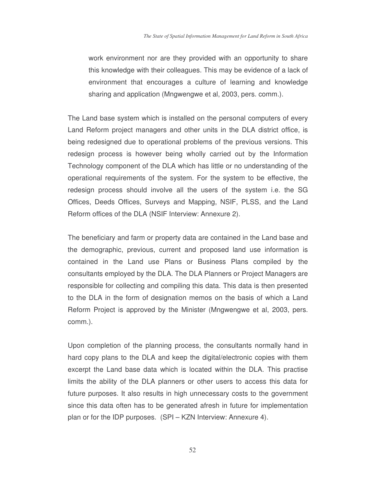work environment nor are they provided with an opportunity to share this knowledge with their colleagues. This may be evidence of a lack of environment that encourages a culture of learning and knowledge sharing and application (Mngwengwe et al, 2003, pers. comm.).

The Land base system which is installed on the personal computers of every Land Reform project managers and other units in the DLA district office, is being redesigned due to operational problems of the previous versions. This redesign process is however being wholly carried out by the Information Technology component of the DLA which has little or no understanding of the operational requirements of the system. For the system to be effective, the redesign process should involve all the users of the system i.e. the SG Offices, Deeds Offices, Surveys and Mapping, NSIF, PLSS, and the Land Reform offices of the DLA (NSIF Interview: Annexure 2).

The beneficiary and farm or property data are contained in the Land base and the demographic, previous, current and proposed land use information is contained in the Land use Plans or Business Plans compiled by the consultants employed by the DLA. The DLA Planners or Project Managers are responsible for collecting and compiling this data. This data is then presented to the DLA in the form of designation memos on the basis of which a Land Reform Project is approved by the Minister (Mngwengwe et al, 2003, pers. comm.).

Upon completion of the planning process, the consultants normally hand in hard copy plans to the DLA and keep the digital/electronic copies with them excerpt the Land base data which is located within the DLA. This practise limits the ability of the DLA planners or other users to access this data for future purposes. It also results in high unnecessary costs to the government since this data often has to be generated afresh in future for implementation plan or for the IDP purposes. (SPI – KZN Interview: Annexure 4).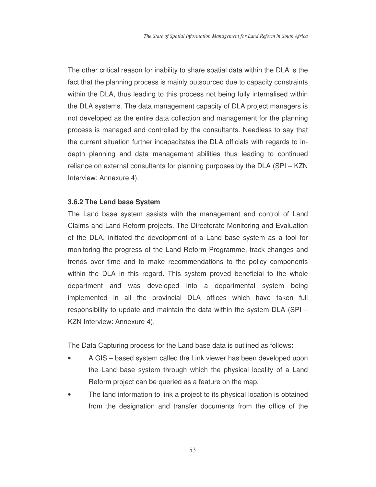The other critical reason for inability to share spatial data within the DLA is the fact that the planning process is mainly outsourced due to capacity constraints within the DLA, thus leading to this process not being fully internalised within the DLA systems. The data management capacity of DLA project managers is not developed as the entire data collection and management for the planning process is managed and controlled by the consultants. Needless to say that the current situation further incapacitates the DLA officials with regards to indepth planning and data management abilities thus leading to continued reliance on external consultants for planning purposes by the DLA (SPI – KZN Interview: Annexure 4).

### **3.6.2 The Land base System**

The Land base system assists with the management and control of Land Claims and Land Reform projects. The Directorate Monitoring and Evaluation of the DLA, initiated the development of a Land base system as a tool for monitoring the progress of the Land Reform Programme, track changes and trends over time and to make recommendations to the policy components within the DLA in this regard. This system proved beneficial to the whole department and was developed into a departmental system being implemented in all the provincial DLA offices which have taken full responsibility to update and maintain the data within the system DLA (SPI – KZN Interview: Annexure 4).

The Data Capturing process for the Land base data is outlined as follows:

- A GIS based system called the Link viewer has been developed upon the Land base system through which the physical locality of a Land Reform project can be queried as a feature on the map.
- The land information to link a project to its physical location is obtained from the designation and transfer documents from the office of the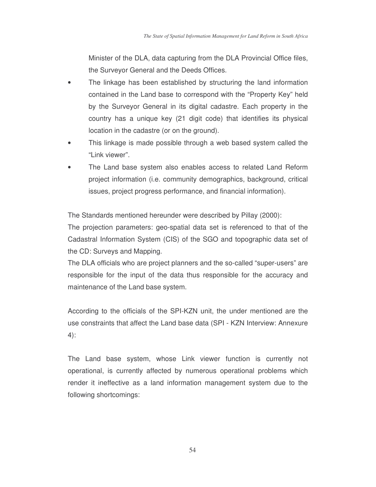Minister of the DLA, data capturing from the DLA Provincial Office files, the Surveyor General and the Deeds Offices.

- The linkage has been established by structuring the land information contained in the Land base to correspond with the "Property Key" held by the Surveyor General in its digital cadastre. Each property in the country has a unique key (21 digit code) that identifies its physical location in the cadastre (or on the ground).
- This linkage is made possible through a web based system called the "Link viewer".
- The Land base system also enables access to related Land Reform project information (i.e. community demographics, background, critical issues, project progress performance, and financial information).

The Standards mentioned hereunder were described by Pillay (2000):

The projection parameters: geo-spatial data set is referenced to that of the Cadastral Information System (CIS) of the SGO and topographic data set of the CD: Surveys and Mapping.

The DLA officials who are project planners and the so-called "super-users" are responsible for the input of the data thus responsible for the accuracy and maintenance of the Land base system.

According to the officials of the SPI-KZN unit, the under mentioned are the use constraints that affect the Land base data (SPI - KZN Interview: Annexure 4):

The Land base system, whose Link viewer function is currently not operational, is currently affected by numerous operational problems which render it ineffective as a land information management system due to the following shortcomings: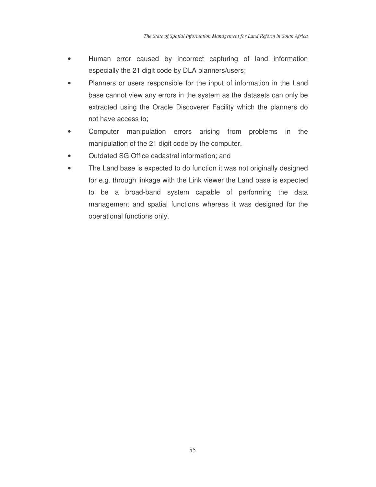- Human error caused by incorrect capturing of land information especially the 21 digit code by DLA planners/users;
- Planners or users responsible for the input of information in the Land base cannot view any errors in the system as the datasets can only be extracted using the Oracle Discoverer Facility which the planners do not have access to;
- Computer manipulation errors arising from problems in the manipulation of the 21 digit code by the computer.
- Outdated SG Office cadastral information; and
- The Land base is expected to do function it was not originally designed for e.g. through linkage with the Link viewer the Land base is expected to be a broad-band system capable of performing the data management and spatial functions whereas it was designed for the operational functions only.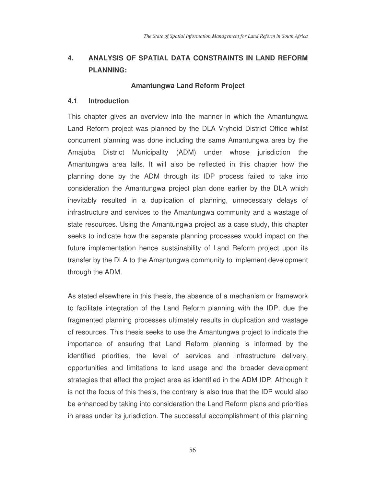# **4. ANALYSIS OF SPATIAL DATA CONSTRAINTS IN LAND REFORM PLANNING:**

### **Amantungwa Land Reform Project**

### **4.1 Introduction**

This chapter gives an overview into the manner in which the Amantungwa Land Reform project was planned by the DLA Vryheid District Office whilst concurrent planning was done including the same Amantungwa area by the Amajuba District Municipality (ADM) under whose jurisdiction the Amantungwa area falls. It will also be reflected in this chapter how the planning done by the ADM through its IDP process failed to take into consideration the Amantungwa project plan done earlier by the DLA which inevitably resulted in a duplication of planning, unnecessary delays of infrastructure and services to the Amantungwa community and a wastage of state resources. Using the Amantungwa project as a case study, this chapter seeks to indicate how the separate planning processes would impact on the future implementation hence sustainability of Land Reform project upon its transfer by the DLA to the Amantungwa community to implement development through the ADM.

As stated elsewhere in this thesis, the absence of a mechanism or framework to facilitate integration of the Land Reform planning with the IDP, due the fragmented planning processes ultimately results in duplication and wastage of resources. This thesis seeks to use the Amantungwa project to indicate the importance of ensuring that Land Reform planning is informed by the identified priorities, the level of services and infrastructure delivery, opportunities and limitations to land usage and the broader development strategies that affect the project area as identified in the ADM IDP. Although it is not the focus of this thesis, the contrary is also true that the IDP would also be enhanced by taking into consideration the Land Reform plans and priorities in areas under its jurisdiction. The successful accomplishment of this planning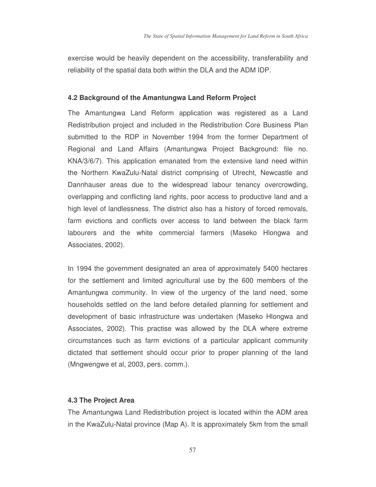exercise would be heavily dependent on the accessibility, transferability and reliability of the spatial data both within the DLA and the ADM IDP.

### **4.2 Background of the Amantungwa Land Reform Project**

The Amantungwa Land Reform application was registered as a Land Redistribution project and included in the Redistribution Core Business Plan submitted to the RDP in November 1994 from the former Department of Regional and Land Affairs (Amantungwa Project Background: file no. KNA/3/6/7). This application emanated from the extensive land need within the Northern KwaZulu-Natal district comprising of Utrecht, Newcastle and Dannhauser areas due to the widespread labour tenancy overcrowding, overlapping and conflicting land rights, poor access to productive land and a high level of landlessness. The district also has a history of forced removals, farm evictions and conflicts over access to land between the black farm labourers and the white commercial farmers (Maseko Hlongwa and Associates, 2002).

In 1994 the government designated an area of approximately 5400 hectares for the settlement and limited agricultural use by the 600 members of the Amantungwa community. In view of the urgency of the land need, some households settled on the land before detailed planning for settlement and development of basic infrastructure was undertaken (Maseko Hlongwa and Associates, 2002). This practise was allowed by the DLA where extreme circumstances such as farm evictions of a particular applicant community dictated that settlement should occur prior to proper planning of the land (Mngwengwe et al, 2003, pers. comm.).

## **4.3 The Project Area**

The Amantungwa Land Redistribution project is located within the ADM area in the KwaZulu-Natal province (Map A). It is approximately 5km from the small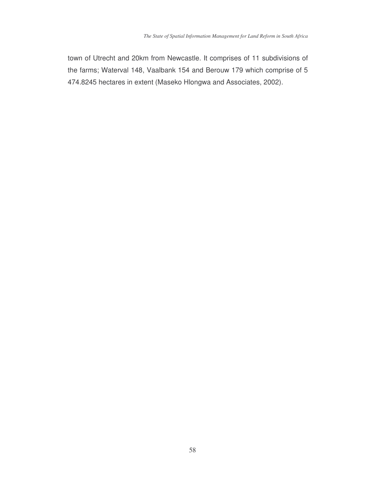town of Utrecht and 20km from Newcastle. It comprises of 11 subdivisions of the farms; Waterval 148, Vaalbank 154 and Berouw 179 which comprise of 5 474.8245 hectares in extent (Maseko Hlongwa and Associates, 2002).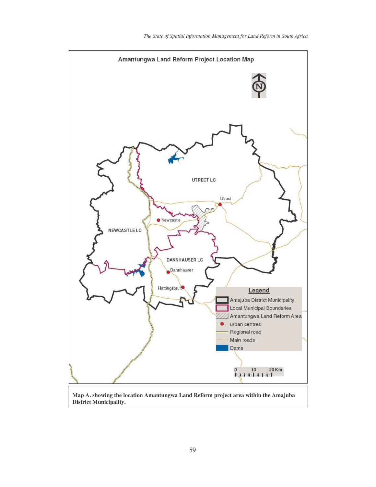

**Map A. showing the location Amantungwa Land Reform project area within the Amajuba District Municipality.**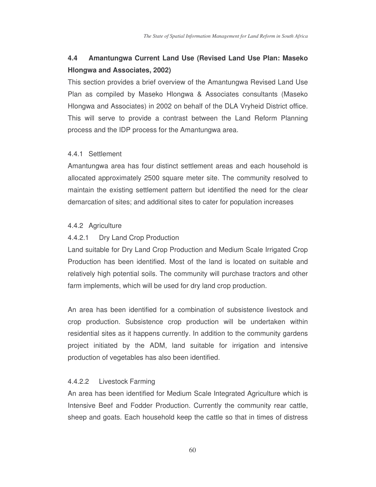# **4.4 Amantungwa Current Land Use (Revised Land Use Plan: Maseko Hlongwa and Associates, 2002)**

This section provides a brief overview of the Amantungwa Revised Land Use Plan as compiled by Maseko Hlongwa & Associates consultants (Maseko Hlongwa and Associates) in 2002 on behalf of the DLA Vryheid District office. This will serve to provide a contrast between the Land Reform Planning process and the IDP process for the Amantungwa area.

## 4.4.1 Settlement

Amantungwa area has four distinct settlement areas and each household is allocated approximately 2500 square meter site. The community resolved to maintain the existing settlement pattern but identified the need for the clear demarcation of sites; and additional sites to cater for population increases

### 4.4.2 Agriculture

### 4.4.2.1 Dry Land Crop Production

Land suitable for Dry Land Crop Production and Medium Scale Irrigated Crop Production has been identified. Most of the land is located on suitable and relatively high potential soils. The community will purchase tractors and other farm implements, which will be used for dry land crop production.

An area has been identified for a combination of subsistence livestock and crop production. Subsistence crop production will be undertaken within residential sites as it happens currently. In addition to the community gardens project initiated by the ADM, land suitable for irrigation and intensive production of vegetables has also been identified.

## 4.4.2.2 Livestock Farming

An area has been identified for Medium Scale Integrated Agriculture which is Intensive Beef and Fodder Production. Currently the community rear cattle, sheep and goats. Each household keep the cattle so that in times of distress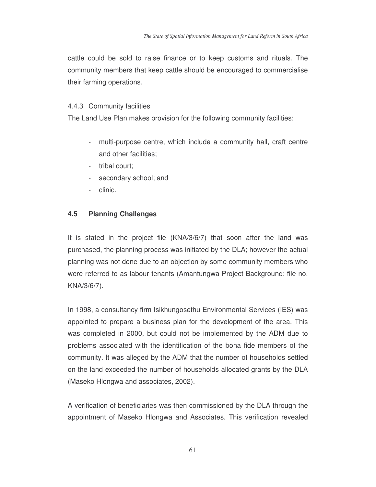cattle could be sold to raise finance or to keep customs and rituals. The community members that keep cattle should be encouraged to commercialise their farming operations.

## 4.4.3 Community facilities

The Land Use Plan makes provision for the following community facilities:

- multi-purpose centre, which include a community hall, craft centre and other facilities;
- tribal court;
- secondary school; and
- clinic.

## **4.5 Planning Challenges**

It is stated in the project file (KNA/3/6/7) that soon after the land was purchased, the planning process was initiated by the DLA; however the actual planning was not done due to an objection by some community members who were referred to as labour tenants (Amantungwa Project Background: file no. KNA/3/6/7).

In 1998, a consultancy firm Isikhungosethu Environmental Services (IES) was appointed to prepare a business plan for the development of the area. This was completed in 2000, but could not be implemented by the ADM due to problems associated with the identification of the bona fide members of the community. It was alleged by the ADM that the number of households settled on the land exceeded the number of households allocated grants by the DLA (Maseko Hlongwa and associates, 2002).

A verification of beneficiaries was then commissioned by the DLA through the appointment of Maseko Hlongwa and Associates. This verification revealed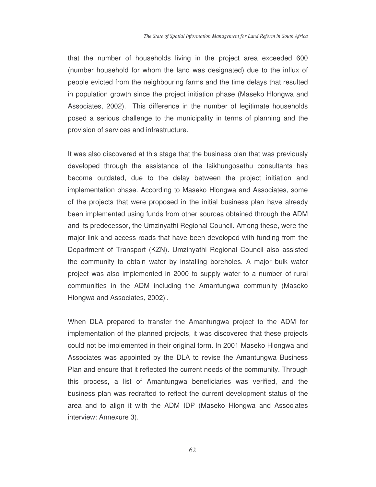that the number of households living in the project area exceeded 600 (number household for whom the land was designated) due to the influx of people evicted from the neighbouring farms and the time delays that resulted in population growth since the project initiation phase (Maseko Hlongwa and Associates, 2002). This difference in the number of legitimate households posed a serious challenge to the municipality in terms of planning and the provision of services and infrastructure.

It was also discovered at this stage that the business plan that was previously developed through the assistance of the Isikhungosethu consultants has become outdated, due to the delay between the project initiation and implementation phase. According to Maseko Hlongwa and Associates, some of the projects that were proposed in the initial business plan have already been implemented using funds from other sources obtained through the ADM and its predecessor, the Umzinyathi Regional Council. Among these, were the major link and access roads that have been developed with funding from the Department of Transport (KZN). Umzinyathi Regional Council also assisted the community to obtain water by installing boreholes. A major bulk water project was also implemented in 2000 to supply water to a number of rural communities in the ADM including the Amantungwa community (Maseko Hlongwa and Associates, 2002)'.

When DLA prepared to transfer the Amantungwa project to the ADM for implementation of the planned projects, it was discovered that these projects could not be implemented in their original form. In 2001 Maseko Hlongwa and Associates was appointed by the DLA to revise the Amantungwa Business Plan and ensure that it reflected the current needs of the community. Through this process, a list of Amantungwa beneficiaries was verified, and the business plan was redrafted to reflect the current development status of the area and to align it with the ADM IDP (Maseko Hlongwa and Associates interview: Annexure 3).

62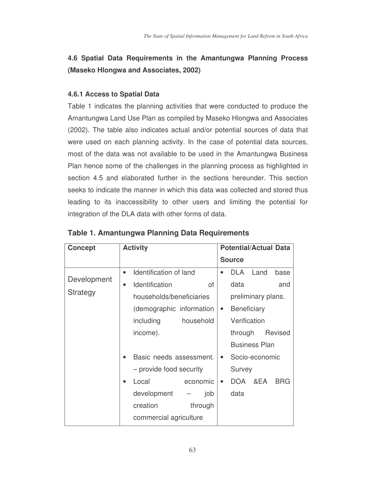# **4.6 Spatial Data Requirements in the Amantungwa Planning Process (Maseko Hlongwa and Associates, 2002)**

### **4.6.1 Access to Spatial Data**

Table 1 indicates the planning activities that were conducted to produce the Amantungwa Land Use Plan as compiled by Maseko Hlongwa and Associates (2002). The table also indicates actual and/or potential sources of data that were used on each planning activity. In the case of potential data sources, most of the data was not available to be used in the Amantungwa Business Plan hence some of the challenges in the planning process as highlighted in section 4.5 and elaborated further in the sections hereunder. This section seeks to indicate the manner in which this data was collected and stored thus leading to its inaccessibility to other users and limiting the potential for integration of the DLA data with other forms of data.

| <b>Concept</b>          | <b>Activity</b>                                                                                                                                                                                      | <b>Potential/Actual Data</b>                                                                                                    |
|-------------------------|------------------------------------------------------------------------------------------------------------------------------------------------------------------------------------------------------|---------------------------------------------------------------------------------------------------------------------------------|
|                         |                                                                                                                                                                                                      | <b>Source</b>                                                                                                                   |
| Development<br>Strategy | Identification of land<br>$\bullet$<br><b>Identification</b><br>οf<br>٠<br>households/beneficiaries<br>(demographic information<br>household<br>including                                            | <b>DLA</b><br>Land<br>base<br>$\bullet$<br>data<br>and<br>preliminary plans.<br><b>Beneficiary</b><br>$\bullet$<br>Verification |
|                         | income).                                                                                                                                                                                             | Revised<br>through<br><b>Business Plan</b>                                                                                      |
|                         | Basic needs assessment.<br>$\bullet$<br>- provide food security<br>Local<br>economic<br>$\bullet$<br>development<br>job<br>$\overline{\phantom{0}}$<br>creation<br>through<br>commercial agriculture | Socio-economic<br>$\bullet$<br>Survey<br>DOA<br>&EA<br><b>BRG</b><br>$\bullet$<br>data                                          |

## **Table 1. Amantungwa Planning Data Requirements**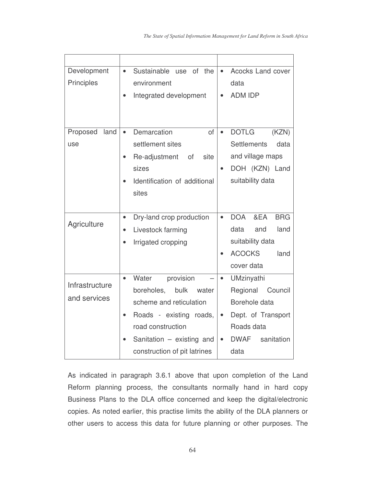| Development       | Sustainable<br>of the<br>$\bullet$<br>use | Acocks Land cover<br>$\bullet$               |
|-------------------|-------------------------------------------|----------------------------------------------|
| <b>Principles</b> | environment                               | data                                         |
|                   | Integrated development                    | <b>ADM IDP</b>                               |
|                   |                                           |                                              |
|                   |                                           |                                              |
| Proposed<br>land  | Demarcation<br><b>of</b><br>$\bullet$     | <b>DOTLG</b><br>(KZN)<br>$\bullet$           |
| use               | settlement sites                          | <b>Settlements</b><br>data                   |
|                   | Re-adjustment<br>of<br>site               | and village maps                             |
|                   | sizes                                     | DOH (KZN) Land                               |
|                   | Identification of additional              | suitability data                             |
|                   | sites                                     |                                              |
|                   |                                           |                                              |
| Agriculture       | Dry-land crop production<br>$\bullet$     | <b>DOA</b><br>&EA<br><b>BRG</b><br>$\bullet$ |
|                   | Livestock farming                         | data<br>land<br>and                          |
|                   | Irrigated cropping                        | suitability data                             |
|                   |                                           | <b>ACOCKS</b><br>land                        |
|                   |                                           | cover data                                   |
|                   | Water<br>provision<br>$\bullet$           | <b>UMzinyathi</b><br>$\bullet$               |
| Infrastructure    | bulk<br>boreholes,<br>water               | Regional<br>Council                          |
| and services      | scheme and reticulation                   | Borehole data                                |
|                   | Roads - existing roads,                   | Dept. of Transport<br>$\bullet$              |
|                   | road construction                         | Roads data                                   |
|                   | Sanitation $-$ existing and               | sanitation<br><b>DWAF</b>                    |
|                   | construction of pit latrines              | data                                         |

As indicated in paragraph 3.6.1 above that upon completion of the Land Reform planning process, the consultants normally hand in hard copy Business Plans to the DLA office concerned and keep the digital/electronic copies. As noted earlier, this practise limits the ability of the DLA planners or other users to access this data for future planning or other purposes. The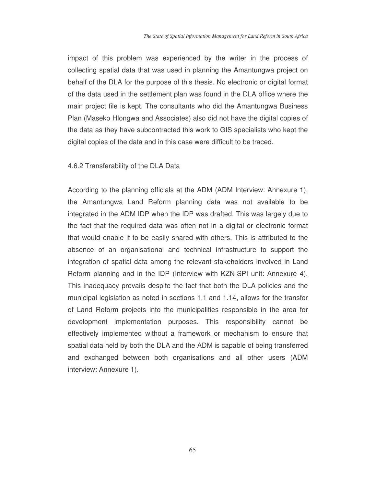impact of this problem was experienced by the writer in the process of collecting spatial data that was used in planning the Amantungwa project on behalf of the DLA for the purpose of this thesis. No electronic or digital format of the data used in the settlement plan was found in the DLA office where the main project file is kept. The consultants who did the Amantungwa Business Plan (Maseko Hlongwa and Associates) also did not have the digital copies of the data as they have subcontracted this work to GIS specialists who kept the digital copies of the data and in this case were difficult to be traced.

#### 4.6.2 Transferability of the DLA Data

According to the planning officials at the ADM (ADM Interview: Annexure 1), the Amantungwa Land Reform planning data was not available to be integrated in the ADM IDP when the IDP was drafted. This was largely due to the fact that the required data was often not in a digital or electronic format that would enable it to be easily shared with others. This is attributed to the absence of an organisational and technical infrastructure to support the integration of spatial data among the relevant stakeholders involved in Land Reform planning and in the IDP (Interview with KZN-SPI unit: Annexure 4). This inadequacy prevails despite the fact that both the DLA policies and the municipal legislation as noted in sections 1.1 and 1.14, allows for the transfer of Land Reform projects into the municipalities responsible in the area for development implementation purposes. This responsibility cannot be effectively implemented without a framework or mechanism to ensure that spatial data held by both the DLA and the ADM is capable of being transferred and exchanged between both organisations and all other users (ADM interview: Annexure 1).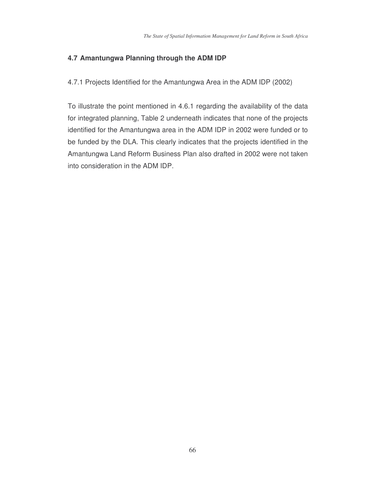# **4.7 Amantungwa Planning through the ADM IDP**

4.7.1 Projects Identified for the Amantungwa Area in the ADM IDP (2002)

To illustrate the point mentioned in 4.6.1 regarding the availability of the data for integrated planning, Table 2 underneath indicates that none of the projects identified for the Amantungwa area in the ADM IDP in 2002 were funded or to be funded by the DLA. This clearly indicates that the projects identified in the Amantungwa Land Reform Business Plan also drafted in 2002 were not taken into consideration in the ADM IDP.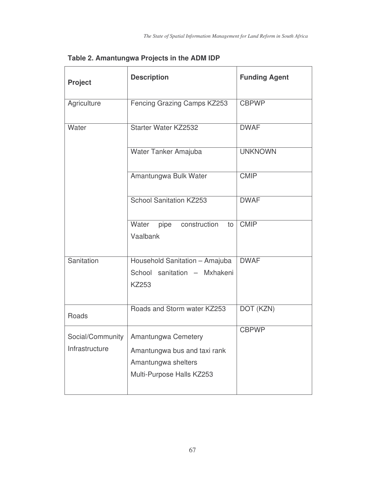| Project                            | <b>Description</b>                                                                                      | <b>Funding Agent</b> |
|------------------------------------|---------------------------------------------------------------------------------------------------------|----------------------|
| Agriculture                        | Fencing Grazing Camps KZ253                                                                             | <b>CBPWP</b>         |
| Water                              | Starter Water KZ2532                                                                                    | <b>DWAF</b>          |
|                                    | Water Tanker Amajuba                                                                                    | <b>UNKNOWN</b>       |
|                                    | Amantungwa Bulk Water                                                                                   | <b>CMIP</b>          |
|                                    | School Sanitation KZ253                                                                                 | <b>DWAF</b>          |
|                                    | pipe construction<br>Water<br>to<br>Vaalbank                                                            | <b>CMIP</b>          |
| Sanitation                         | Household Sanitation - Amajuba<br>School sanitation - Mxhakeni<br><b>KZ253</b>                          | <b>DWAF</b>          |
| Roads                              | Roads and Storm water KZ253                                                                             | DOT (KZN)            |
| Social/Community<br>Infrastructure | Amantungwa Cemetery<br>Amantungwa bus and taxi rank<br>Amantungwa shelters<br>Multi-Purpose Halls KZ253 | <b>CBPWP</b>         |

# **Table 2. Amantungwa Projects in the ADM IDP**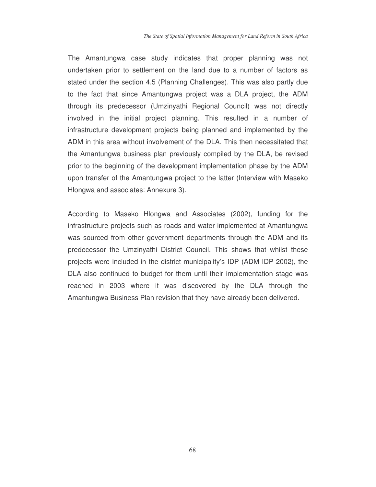The Amantungwa case study indicates that proper planning was not undertaken prior to settlement on the land due to a number of factors as stated under the section 4.5 (Planning Challenges). This was also partly due to the fact that since Amantungwa project was a DLA project, the ADM through its predecessor (Umzinyathi Regional Council) was not directly involved in the initial project planning. This resulted in a number of infrastructure development projects being planned and implemented by the ADM in this area without involvement of the DLA. This then necessitated that the Amantungwa business plan previously compiled by the DLA, be revised prior to the beginning of the development implementation phase by the ADM upon transfer of the Amantungwa project to the latter (Interview with Maseko Hlongwa and associates: Annexure 3).

According to Maseko Hlongwa and Associates (2002), funding for the infrastructure projects such as roads and water implemented at Amantungwa was sourced from other government departments through the ADM and its predecessor the Umzinyathi District Council. This shows that whilst these projects were included in the district municipality's IDP (ADM IDP 2002), the DLA also continued to budget for them until their implementation stage was reached in 2003 where it was discovered by the DLA through the Amantungwa Business Plan revision that they have already been delivered.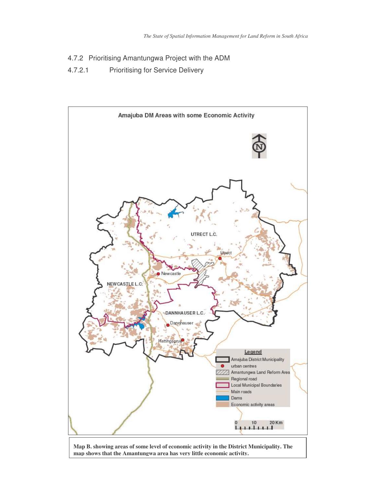- 4.7.2 Prioritising Amantungwa Project with the ADM
- 4.7.2.1 Prioritising for Service Delivery

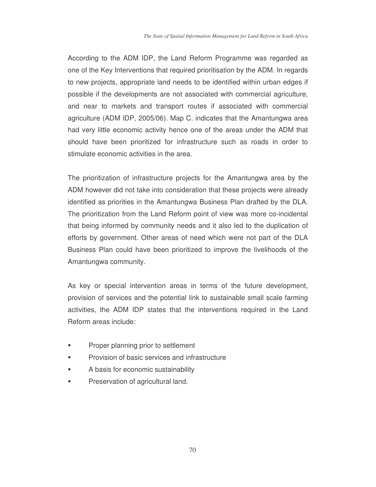According to the ADM IDP, the Land Reform Programme was regarded as one of the Key Interventions that required prioritisation by the ADM. In regards to new projects, appropriate land needs to be identified within urban edges if possible if the developments are not associated with commercial agriculture, and near to markets and transport routes if associated with commercial agriculture (ADM IDP, 2005/06). Map C. indicates that the Amantungwa area had very little economic activity hence one of the areas under the ADM that should have been prioritized for infrastructure such as roads in order to stimulate economic activities in the area.

The prioritization of infrastructure projects for the Amantungwa area by the ADM however did not take into consideration that these projects were already identified as priorities in the Amantungwa Business Plan drafted by the DLA. The prioritization from the Land Reform point of view was more co-incidental that being informed by community needs and it also led to the duplication of efforts by government. Other areas of need which were not part of the DLA Business Plan could have been prioritized to improve the livelihoods of the Amantungwa community.

As key or special intervention areas in terms of the future development, provision of services and the potential link to sustainable small scale farming activities, the ADM IDP states that the interventions required in the Land Reform areas include:

- Proper planning prior to settlement
- Provision of basic services and infrastructure
- A basis for economic sustainability
- Preservation of agricultural land.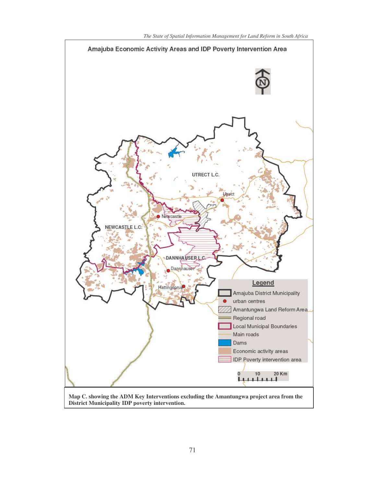

**Map C. showing the ADM Key Interventions excluding the Amantungwa project area from the District Municipality IDP poverty intervention.**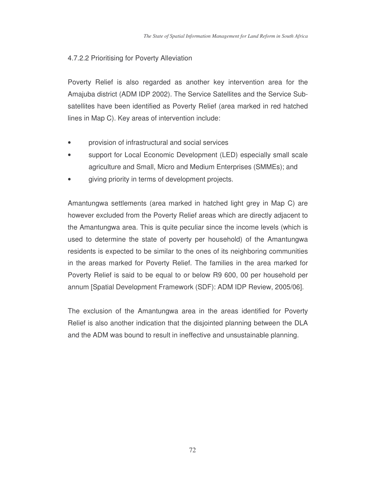## 4.7.2.2 Prioritising for Poverty Alleviation

Poverty Relief is also regarded as another key intervention area for the Amajuba district (ADM IDP 2002). The Service Satellites and the Service Subsatellites have been identified as Poverty Relief (area marked in red hatched lines in Map C). Key areas of intervention include:

- provision of infrastructural and social services
- support for Local Economic Development (LED) especially small scale agriculture and Small, Micro and Medium Enterprises (SMMEs); and
- giving priority in terms of development projects.

Amantungwa settlements (area marked in hatched light grey in Map C) are however excluded from the Poverty Relief areas which are directly adjacent to the Amantungwa area. This is quite peculiar since the income levels (which is used to determine the state of poverty per household) of the Amantungwa residents is expected to be similar to the ones of its neighboring communities in the areas marked for Poverty Relief. The families in the area marked for Poverty Relief is said to be equal to or below R9 600, 00 per household per annum [Spatial Development Framework (SDF): ADM IDP Review, 2005/06].

The exclusion of the Amantungwa area in the areas identified for Poverty Relief is also another indication that the disjointed planning between the DLA and the ADM was bound to result in ineffective and unsustainable planning.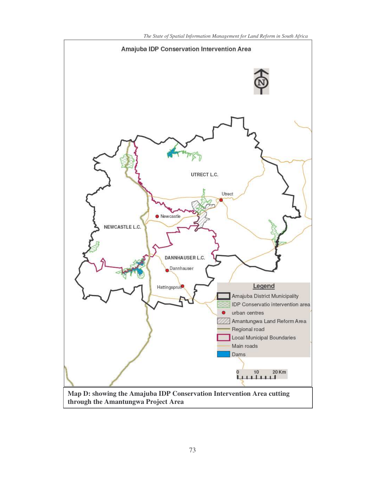

**through the Amantungwa Project Area**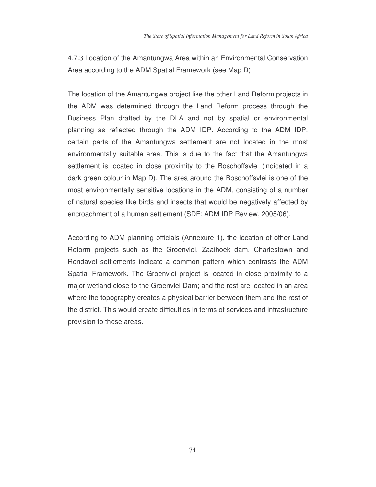4.7.3 Location of the Amantungwa Area within an Environmental Conservation Area according to the ADM Spatial Framework (see Map D)

The location of the Amantungwa project like the other Land Reform projects in the ADM was determined through the Land Reform process through the Business Plan drafted by the DLA and not by spatial or environmental planning as reflected through the ADM IDP. According to the ADM IDP, certain parts of the Amantungwa settlement are not located in the most environmentally suitable area. This is due to the fact that the Amantungwa settlement is located in close proximity to the Boschoffsvlei (indicated in a dark green colour in Map D). The area around the Boschoffsvlei is one of the most environmentally sensitive locations in the ADM, consisting of a number of natural species like birds and insects that would be negatively affected by encroachment of a human settlement (SDF: ADM IDP Review, 2005/06).

According to ADM planning officials (Annexure 1), the location of other Land Reform projects such as the Groenvlei, Zaaihoek dam, Charlestown and Rondavel settlements indicate a common pattern which contrasts the ADM Spatial Framework. The Groenvlei project is located in close proximity to a major wetland close to the Groenvlei Dam; and the rest are located in an area where the topography creates a physical barrier between them and the rest of the district. This would create difficulties in terms of services and infrastructure provision to these areas.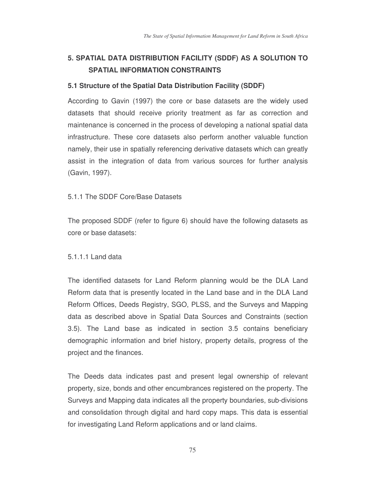# **5. SPATIAL DATA DISTRIBUTION FACILITY (SDDF) AS A SOLUTION TO SPATIAL INFORMATION CONSTRAINTS**

### **5.1 Structure of the Spatial Data Distribution Facility (SDDF)**

According to Gavin (1997) the core or base datasets are the widely used datasets that should receive priority treatment as far as correction and maintenance is concerned in the process of developing a national spatial data infrastructure. These core datasets also perform another valuable function namely, their use in spatially referencing derivative datasets which can greatly assist in the integration of data from various sources for further analysis (Gavin, 1997).

#### 5.1.1 The SDDF Core/Base Datasets

The proposed SDDF (refer to figure 6) should have the following datasets as core or base datasets:

#### 5.1.1.1 Land data

The identified datasets for Land Reform planning would be the DLA Land Reform data that is presently located in the Land base and in the DLA Land Reform Offices, Deeds Registry, SGO, PLSS, and the Surveys and Mapping data as described above in Spatial Data Sources and Constraints (section 3.5). The Land base as indicated in section 3.5 contains beneficiary demographic information and brief history, property details, progress of the project and the finances.

The Deeds data indicates past and present legal ownership of relevant property, size, bonds and other encumbrances registered on the property. The Surveys and Mapping data indicates all the property boundaries, sub-divisions and consolidation through digital and hard copy maps. This data is essential for investigating Land Reform applications and or land claims.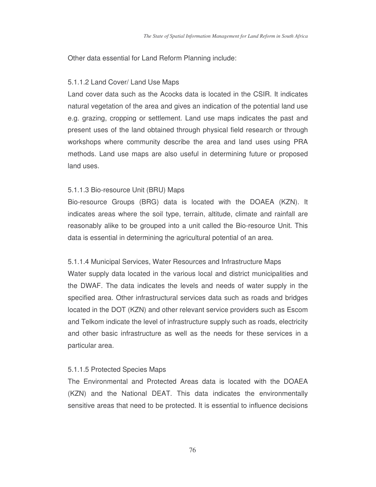Other data essential for Land Reform Planning include:

### 5.1.1.2 Land Cover/ Land Use Maps

Land cover data such as the Acocks data is located in the CSIR. It indicates natural vegetation of the area and gives an indication of the potential land use e.g. grazing, cropping or settlement. Land use maps indicates the past and present uses of the land obtained through physical field research or through workshops where community describe the area and land uses using PRA methods. Land use maps are also useful in determining future or proposed land uses.

### 5.1.1.3 Bio-resource Unit (BRU) Maps

Bio-resource Groups (BRG) data is located with the DOAEA (KZN). It indicates areas where the soil type, terrain, altitude, climate and rainfall are reasonably alike to be grouped into a unit called the Bio-resource Unit. This data is essential in determining the agricultural potential of an area.

### 5.1.1.4 Municipal Services, Water Resources and Infrastructure Maps

Water supply data located in the various local and district municipalities and the DWAF. The data indicates the levels and needs of water supply in the specified area. Other infrastructural services data such as roads and bridges located in the DOT (KZN) and other relevant service providers such as Escom and Telkom indicate the level of infrastructure supply such as roads, electricity and other basic infrastructure as well as the needs for these services in a particular area.

### 5.1.1.5 Protected Species Maps

The Environmental and Protected Areas data is located with the DOAEA (KZN) and the National DEAT. This data indicates the environmentally sensitive areas that need to be protected. It is essential to influence decisions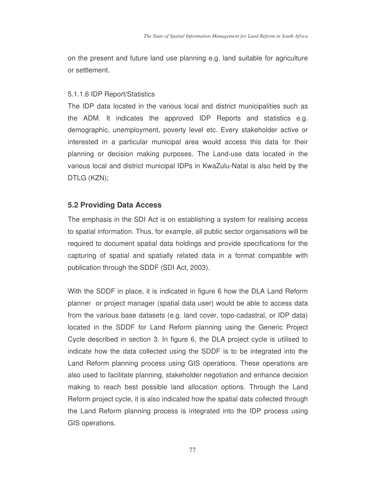on the present and future land use planning e.g. land suitable for agriculture or settlement.

#### 5.1.1.6 IDP Report/Statistics

The IDP data located in the various local and district municipalities such as the ADM. It indicates the approved IDP Reports and statistics e.g. demographic, unemployment, poverty level etc. Every stakeholder active or interested in a particular municipal area would access this data for their planning or decision making purposes. The Land-use data located in the various local and district municipal IDPs in KwaZulu-Natal is also held by the DTLG (KZN);

### **5.2 Providing Data Access**

The emphasis in the SDI Act is on establishing a system for realising access to spatial information. Thus, for example, all public sector organisations will be required to document spatial data holdings and provide specifications for the capturing of spatial and spatially related data in a format compatible with publication through the SDDF (SDI Act, 2003).

With the SDDF in place, it is indicated in figure 6 how the DLA Land Reform planner or project manager (spatial data user) would be able to access data from the various base datasets (e.g. land cover, topo-cadastral, or IDP data) located in the SDDF for Land Reform planning using the Generic Project Cycle described in section 3. In figure 6, the DLA project cycle is utilised to indicate how the data collected using the SDDF is to be integrated into the Land Reform planning process using GIS operations. These operations are also used to facilitate planning, stakeholder negotiation and enhance decision making to reach best possible land allocation options. Through the Land Reform project cycle, it is also indicated how the spatial data collected through the Land Reform planning process is integrated into the IDP process using GIS operations.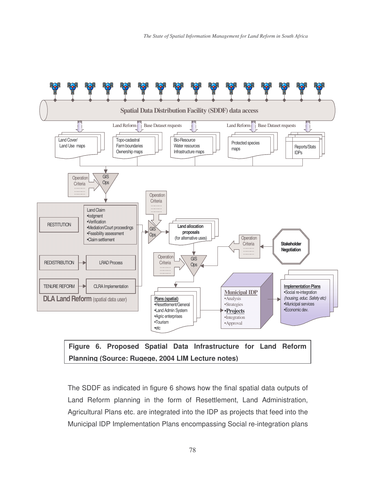

The SDDF as indicated in figure 6 shows how the final spatial data outputs of Land Reform planning in the form of Resettlement, Land Administration, Agricultural Plans etc. are integrated into the IDP as projects that feed into the Municipal IDP Implementation Plans encompassing Social re-integration plans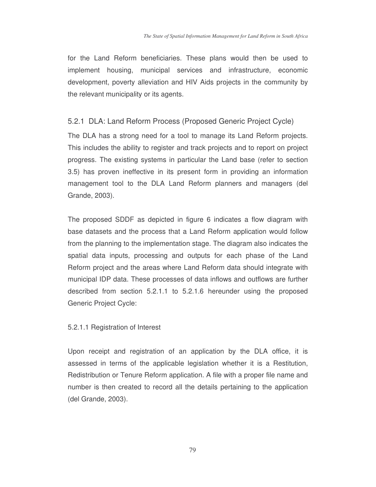for the Land Reform beneficiaries. These plans would then be used to implement housing, municipal services and infrastructure, economic development, poverty alleviation and HIV Aids projects in the community by the relevant municipality or its agents.

### 5.2.1 DLA: Land Reform Process (Proposed Generic Project Cycle)

The DLA has a strong need for a tool to manage its Land Reform projects. This includes the ability to register and track projects and to report on project progress. The existing systems in particular the Land base (refer to section 3.5) has proven ineffective in its present form in providing an information management tool to the DLA Land Reform planners and managers (del Grande, 2003).

The proposed SDDF as depicted in figure 6 indicates a flow diagram with base datasets and the process that a Land Reform application would follow from the planning to the implementation stage. The diagram also indicates the spatial data inputs, processing and outputs for each phase of the Land Reform project and the areas where Land Reform data should integrate with municipal IDP data. These processes of data inflows and outflows are further described from section 5.2.1.1 to 5.2.1.6 hereunder using the proposed Generic Project Cycle:

5.2.1.1 Registration of Interest

Upon receipt and registration of an application by the DLA office, it is assessed in terms of the applicable legislation whether it is a Restitution, Redistribution or Tenure Reform application. A file with a proper file name and number is then created to record all the details pertaining to the application (del Grande, 2003).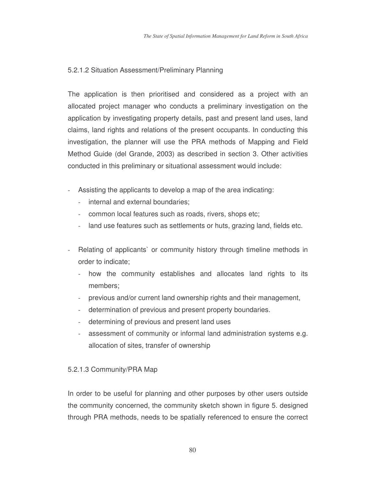#### 5.2.1.2 Situation Assessment/Preliminary Planning

The application is then prioritised and considered as a project with an allocated project manager who conducts a preliminary investigation on the application by investigating property details, past and present land uses, land claims, land rights and relations of the present occupants. In conducting this investigation, the planner will use the PRA methods of Mapping and Field Method Guide (del Grande, 2003) as described in section 3. Other activities conducted in this preliminary or situational assessment would include:

- Assisting the applicants to develop a map of the area indicating:
	- internal and external boundaries;
	- common local features such as roads, rivers, shops etc;
	- land use features such as settlements or huts, grazing land, fields etc.
- Relating of applicants' or community history through timeline methods in order to indicate;
	- how the community establishes and allocates land rights to its members;
	- previous and/or current land ownership rights and their management,
	- determination of previous and present property boundaries.
	- determining of previous and present land uses
	- assessment of community or informal land administration systems e.g. allocation of sites, transfer of ownership

### 5.2.1.3 Community/PRA Map

In order to be useful for planning and other purposes by other users outside the community concerned, the community sketch shown in figure 5. designed through PRA methods, needs to be spatially referenced to ensure the correct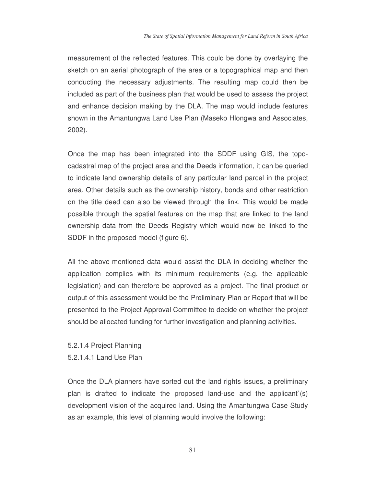measurement of the reflected features. This could be done by overlaying the sketch on an aerial photograph of the area or a topographical map and then conducting the necessary adjustments. The resulting map could then be included as part of the business plan that would be used to assess the project and enhance decision making by the DLA. The map would include features shown in the Amantungwa Land Use Plan (Maseko Hlongwa and Associates, 2002).

Once the map has been integrated into the SDDF using GIS, the topocadastral map of the project area and the Deeds information, it can be queried to indicate land ownership details of any particular land parcel in the project area. Other details such as the ownership history, bonds and other restriction on the title deed can also be viewed through the link. This would be made possible through the spatial features on the map that are linked to the land ownership data from the Deeds Registry which would now be linked to the SDDF in the proposed model (figure 6).

All the above-mentioned data would assist the DLA in deciding whether the application complies with its minimum requirements (e.g. the applicable legislation) and can therefore be approved as a project. The final product or output of this assessment would be the Preliminary Plan or Report that will be presented to the Project Approval Committee to decide on whether the project should be allocated funding for further investigation and planning activities.

5.2.1.4 Project Planning 5.2.1.4.1 Land Use Plan

Once the DLA planners have sorted out the land rights issues, a preliminary plan is drafted to indicate the proposed land-use and the applicant`(s) development vision of the acquired land. Using the Amantungwa Case Study as an example, this level of planning would involve the following:

81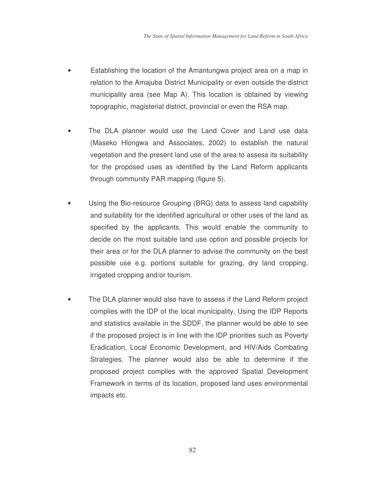- Establishing the location of the Amantungwa project area on a map in relation to the Amajuba District Municipality or even outside the district municipality area (see Map A). This location is obtained by viewing topographic, magisterial district, provincial or even the RSA map.
- The DLA planner would use the Land Cover and Land use data (Maseko Hlongwa and Associates, 2002) to establish the natural vegetation and the present land use of the area to assess its suitability for the proposed uses as identified by the Land Reform applicants through community PAR mapping (figure 5).
- Using the Bio-resource Grouping (BRG) data to assess land capability and suitability for the identified agricultural or other uses of the land as specified by the applicants. This would enable the community to decide on the most suitable land use option and possible projects for their area or for the DLA planner to advise the community on the best possible use e.g. portions suitable for grazing, dry land cropping, irrigated cropping and/or tourism.
- The DLA planner would also have to assess if the Land Reform project complies with the IDP of the local municipality. Using the IDP Reports and statistics available in the SDDF, the planner would be able to see if the proposed project is in line with the IDP priorities such as Poverty Eradication, Local Economic Development, and HIV/Aids Combating Strategies. The planner would also be able to determine if the proposed project complies with the approved Spatial Development Framework in terms of its location, proposed land uses environmental impacts etc.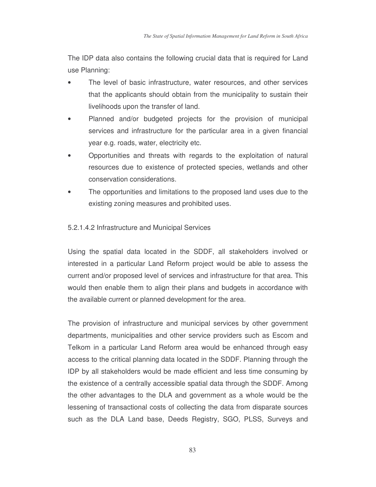The IDP data also contains the following crucial data that is required for Land use Planning:

- The level of basic infrastructure, water resources, and other services that the applicants should obtain from the municipality to sustain their livelihoods upon the transfer of land.
- Planned and/or budgeted projects for the provision of municipal services and infrastructure for the particular area in a given financial year e.g. roads, water, electricity etc.
- Opportunities and threats with regards to the exploitation of natural resources due to existence of protected species, wetlands and other conservation considerations.
- The opportunities and limitations to the proposed land uses due to the existing zoning measures and prohibited uses.

### 5.2.1.4.2 Infrastructure and Municipal Services

Using the spatial data located in the SDDF, all stakeholders involved or interested in a particular Land Reform project would be able to assess the current and/or proposed level of services and infrastructure for that area. This would then enable them to align their plans and budgets in accordance with the available current or planned development for the area.

The provision of infrastructure and municipal services by other government departments, municipalities and other service providers such as Escom and Telkom in a particular Land Reform area would be enhanced through easy access to the critical planning data located in the SDDF. Planning through the IDP by all stakeholders would be made efficient and less time consuming by the existence of a centrally accessible spatial data through the SDDF. Among the other advantages to the DLA and government as a whole would be the lessening of transactional costs of collecting the data from disparate sources such as the DLA Land base, Deeds Registry, SGO, PLSS, Surveys and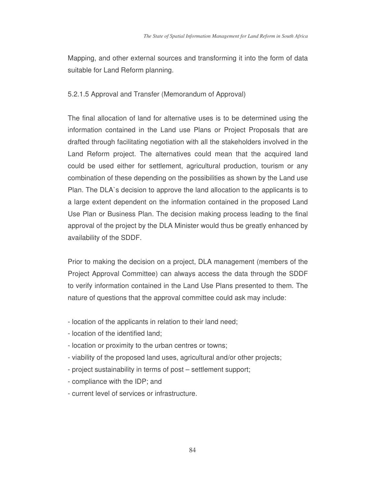Mapping, and other external sources and transforming it into the form of data suitable for Land Reform planning.

5.2.1.5 Approval and Transfer (Memorandum of Approval)

The final allocation of land for alternative uses is to be determined using the information contained in the Land use Plans or Project Proposals that are drafted through facilitating negotiation with all the stakeholders involved in the Land Reform project. The alternatives could mean that the acquired land could be used either for settlement, agricultural production, tourism or any combination of these depending on the possibilities as shown by the Land use Plan. The DLA`s decision to approve the land allocation to the applicants is to a large extent dependent on the information contained in the proposed Land Use Plan or Business Plan. The decision making process leading to the final approval of the project by the DLA Minister would thus be greatly enhanced by availability of the SDDF.

Prior to making the decision on a project, DLA management (members of the Project Approval Committee) can always access the data through the SDDF to verify information contained in the Land Use Plans presented to them. The nature of questions that the approval committee could ask may include:

- location of the applicants in relation to their land need;
- location of the identified land;
- location or proximity to the urban centres or towns;
- viability of the proposed land uses, agricultural and/or other projects;
- project sustainability in terms of post settlement support;
- compliance with the IDP; and
- current level of services or infrastructure.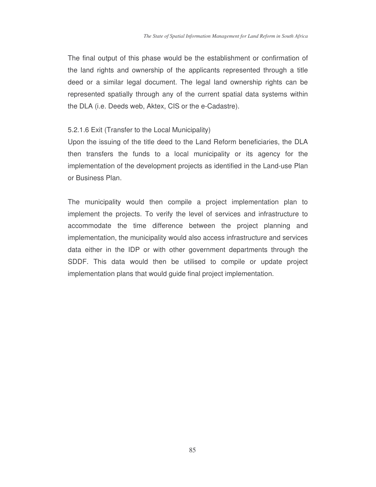The final output of this phase would be the establishment or confirmation of the land rights and ownership of the applicants represented through a title deed or a similar legal document. The legal land ownership rights can be represented spatially through any of the current spatial data systems within the DLA (i.e. Deeds web, Aktex, CIS or the e-Cadastre).

### 5.2.1.6 Exit (Transfer to the Local Municipality)

Upon the issuing of the title deed to the Land Reform beneficiaries, the DLA then transfers the funds to a local municipality or its agency for the implementation of the development projects as identified in the Land-use Plan or Business Plan.

The municipality would then compile a project implementation plan to implement the projects. To verify the level of services and infrastructure to accommodate the time difference between the project planning and implementation, the municipality would also access infrastructure and services data either in the IDP or with other government departments through the SDDF. This data would then be utilised to compile or update project implementation plans that would guide final project implementation.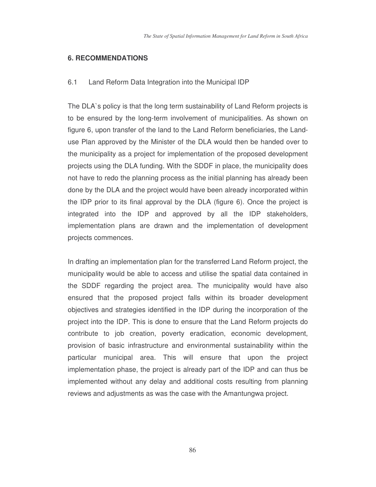### **6. RECOMMENDATIONS**

#### 6.1 Land Reform Data Integration into the Municipal IDP

The DLA`s policy is that the long term sustainability of Land Reform projects is to be ensured by the long-term involvement of municipalities. As shown on figure 6, upon transfer of the land to the Land Reform beneficiaries, the Landuse Plan approved by the Minister of the DLA would then be handed over to the municipality as a project for implementation of the proposed development projects using the DLA funding. With the SDDF in place, the municipality does not have to redo the planning process as the initial planning has already been done by the DLA and the project would have been already incorporated within the IDP prior to its final approval by the DLA (figure 6). Once the project is integrated into the IDP and approved by all the IDP stakeholders, implementation plans are drawn and the implementation of development projects commences.

In drafting an implementation plan for the transferred Land Reform project, the municipality would be able to access and utilise the spatial data contained in the SDDF regarding the project area. The municipality would have also ensured that the proposed project falls within its broader development objectives and strategies identified in the IDP during the incorporation of the project into the IDP. This is done to ensure that the Land Reform projects do contribute to job creation, poverty eradication, economic development, provision of basic infrastructure and environmental sustainability within the particular municipal area. This will ensure that upon the project implementation phase, the project is already part of the IDP and can thus be implemented without any delay and additional costs resulting from planning reviews and adjustments as was the case with the Amantungwa project.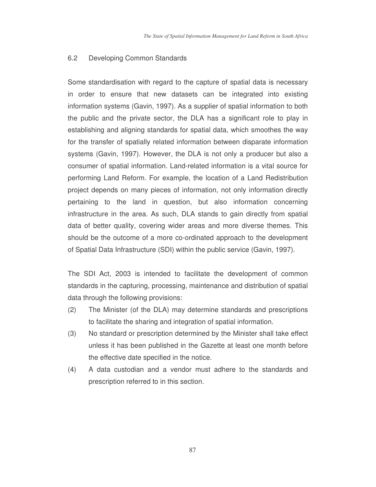### 6.2 Developing Common Standards

Some standardisation with regard to the capture of spatial data is necessary in order to ensure that new datasets can be integrated into existing information systems (Gavin, 1997). As a supplier of spatial information to both the public and the private sector, the DLA has a significant role to play in establishing and aligning standards for spatial data, which smoothes the way for the transfer of spatially related information between disparate information systems (Gavin, 1997). However, the DLA is not only a producer but also a consumer of spatial information. Land-related information is a vital source for performing Land Reform. For example, the location of a Land Redistribution project depends on many pieces of information, not only information directly pertaining to the land in question, but also information concerning infrastructure in the area. As such, DLA stands to gain directly from spatial data of better quality, covering wider areas and more diverse themes. This should be the outcome of a more co-ordinated approach to the development of Spatial Data Infrastructure (SDI) within the public service (Gavin, 1997).

The SDI Act, 2003 is intended to facilitate the development of common standards in the capturing, processing, maintenance and distribution of spatial data through the following provisions:

- (2) The Minister (of the DLA) may determine standards and prescriptions to facilitate the sharing and integration of spatial information.
- (3) No standard or prescription determined by the Minister shall take effect unless it has been published in the Gazette at least one month before the effective date specified in the notice.
- (4) A data custodian and a vendor must adhere to the standards and prescription referred to in this section.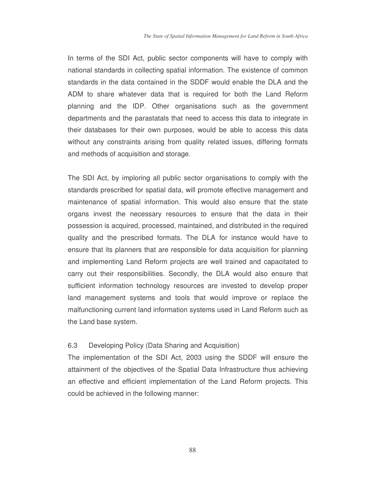In terms of the SDI Act, public sector components will have to comply with national standards in collecting spatial information. The existence of common standards in the data contained in the SDDF would enable the DLA and the ADM to share whatever data that is required for both the Land Reform planning and the IDP. Other organisations such as the government departments and the parastatals that need to access this data to integrate in their databases for their own purposes, would be able to access this data without any constraints arising from quality related issues, differing formats and methods of acquisition and storage.

The SDI Act, by imploring all public sector organisations to comply with the standards prescribed for spatial data, will promote effective management and maintenance of spatial information. This would also ensure that the state organs invest the necessary resources to ensure that the data in their possession is acquired, processed, maintained, and distributed in the required quality and the prescribed formats. The DLA for instance would have to ensure that its planners that are responsible for data acquisition for planning and implementing Land Reform projects are well trained and capacitated to carry out their responsibilities. Secondly, the DLA would also ensure that sufficient information technology resources are invested to develop proper land management systems and tools that would improve or replace the malfunctioning current land information systems used in Land Reform such as the Land base system.

#### 6.3 Developing Policy (Data Sharing and Acquisition)

The implementation of the SDI Act, 2003 using the SDDF will ensure the attainment of the objectives of the Spatial Data Infrastructure thus achieving an effective and efficient implementation of the Land Reform projects. This could be achieved in the following manner: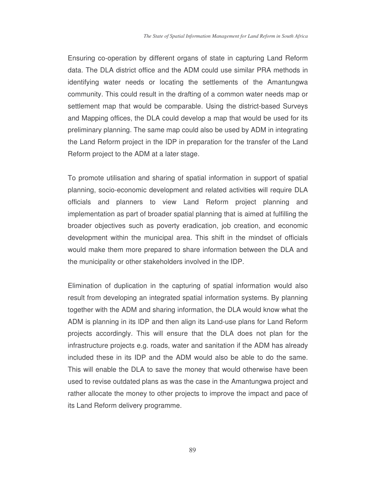Ensuring co-operation by different organs of state in capturing Land Reform data. The DLA district office and the ADM could use similar PRA methods in identifying water needs or locating the settlements of the Amantungwa community. This could result in the drafting of a common water needs map or settlement map that would be comparable. Using the district-based Surveys and Mapping offices, the DLA could develop a map that would be used for its preliminary planning. The same map could also be used by ADM in integrating the Land Reform project in the IDP in preparation for the transfer of the Land Reform project to the ADM at a later stage.

To promote utilisation and sharing of spatial information in support of spatial planning, socio-economic development and related activities will require DLA officials and planners to view Land Reform project planning and implementation as part of broader spatial planning that is aimed at fulfilling the broader objectives such as poverty eradication, job creation, and economic development within the municipal area. This shift in the mindset of officials would make them more prepared to share information between the DLA and the municipality or other stakeholders involved in the IDP.

Elimination of duplication in the capturing of spatial information would also result from developing an integrated spatial information systems. By planning together with the ADM and sharing information, the DLA would know what the ADM is planning in its IDP and then align its Land-use plans for Land Reform projects accordingly. This will ensure that the DLA does not plan for the infrastructure projects e.g. roads, water and sanitation if the ADM has already included these in its IDP and the ADM would also be able to do the same. This will enable the DLA to save the money that would otherwise have been used to revise outdated plans as was the case in the Amantungwa project and rather allocate the money to other projects to improve the impact and pace of its Land Reform delivery programme.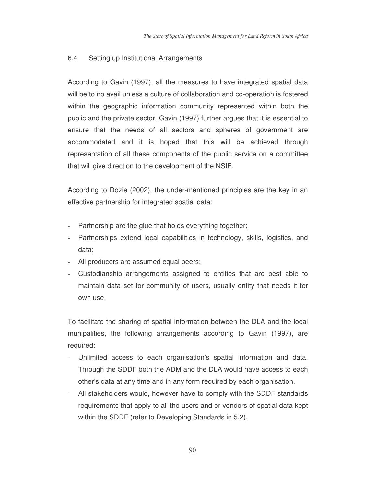### 6.4 Setting up Institutional Arrangements

According to Gavin (1997), all the measures to have integrated spatial data will be to no avail unless a culture of collaboration and co-operation is fostered within the geographic information community represented within both the public and the private sector. Gavin (1997) further argues that it is essential to ensure that the needs of all sectors and spheres of government are accommodated and it is hoped that this will be achieved through representation of all these components of the public service on a committee that will give direction to the development of the NSIF.

According to Dozie (2002), the under-mentioned principles are the key in an effective partnership for integrated spatial data:

- Partnership are the glue that holds everything together;
- Partnerships extend local capabilities in technology, skills, logistics, and data;
- All producers are assumed equal peers;
- Custodianship arrangements assigned to entities that are best able to maintain data set for community of users, usually entity that needs it for own use.

To facilitate the sharing of spatial information between the DLA and the local munipalities, the following arrangements according to Gavin (1997), are required:

- Unlimited access to each organisation's spatial information and data. Through the SDDF both the ADM and the DLA would have access to each other's data at any time and in any form required by each organisation.
- All stakeholders would, however have to comply with the SDDF standards requirements that apply to all the users and or vendors of spatial data kept within the SDDF (refer to Developing Standards in 5.2).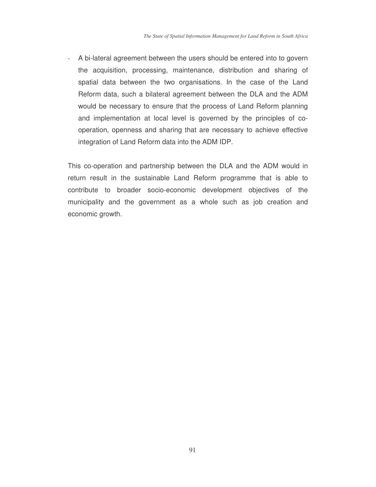A bi-lateral agreement between the users should be entered into to govern the acquisition, processing, maintenance, distribution and sharing of spatial data between the two organisations. In the case of the Land Reform data, such a bilateral agreement between the DLA and the ADM would be necessary to ensure that the process of Land Reform planning and implementation at local level is governed by the principles of cooperation, openness and sharing that are necessary to achieve effective integration of Land Reform data into the ADM IDP.

This co-operation and partnership between the DLA and the ADM would in return result in the sustainable Land Reform programme that is able to contribute to broader socio-economic development objectives of the municipality and the government as a whole such as job creation and economic growth.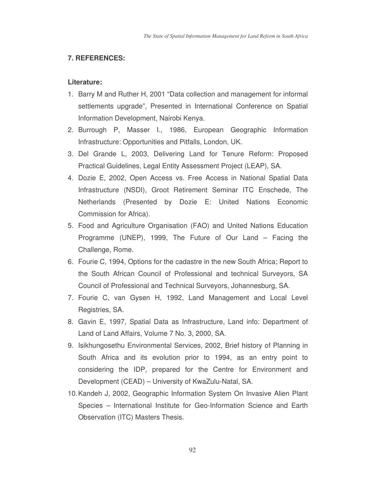#### **7. REFERENCES:**

#### **Literature:**

- 1. Barry M and Ruther H, 2001 "Data collection and management for informal settlements upgrade", Presented in International Conference on Spatial Information Development, Nairobi Kenya.
- 2. Burrough P, Masser I., 1986, European Geographic Information Infrastructure: Opportunities and Pitfalls, London, UK.
- 3. Del Grande L, 2003, Delivering Land for Tenure Reform: Proposed Practical Guidelines, Legal Entity Assessment Project (LEAP), SA.
- 4. Dozie E, 2002, Open Access vs. Free Access in National Spatial Data Infrastructure (NSDI), Groot Retirement Seminar ITC Enschede, The Netherlands (Presented by Dozie E: United Nations Economic Commission for Africa).
- 5. Food and Agriculture Organisation (FAO) and United Nations Education Programme (UNEP), 1999, The Future of Our Land – Facing the Challenge, Rome.
- 6. Fourie C, 1994, Options for the cadastre in the new South Africa; Report to the South African Council of Professional and technical Surveyors, SA Council of Professional and Technical Surveyors, Johannesburg, SA.
- 7. Fourie C, van Gysen H, 1992, Land Management and Local Level Registries, SA.
- 8. Gavin E, 1997, Spatial Data as Infrastructure, Land info: Department of Land of Land Affairs, Volume 7 No. 3, 2000, SA.
- 9. Isikhungosethu Environmental Services, 2002, Brief history of Planning in South Africa and its evolution prior to 1994, as an entry point to considering the IDP, prepared for the Centre for Environment and Development (CEAD) – University of KwaZulu-Natal, SA.
- 10.Kandeh J, 2002, Geographic Information System On Invasive Alien Plant Species – International Institute for Geo-Information Science and Earth Observation (ITC) Masters Thesis.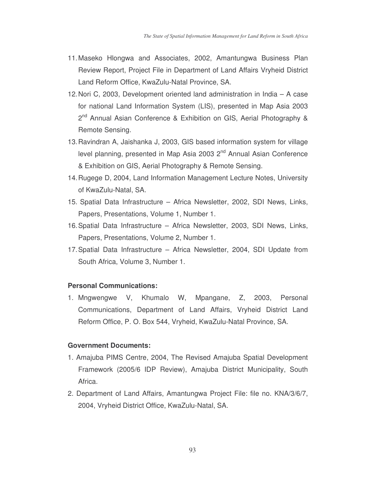- 11.Maseko Hlongwa and Associates, 2002, Amantungwa Business Plan Review Report, Project File in Department of Land Affairs Vryheid District Land Reform Office, KwaZulu-Natal Province, SA.
- 12.Nori C, 2003, Development oriented land administration in India A case for national Land Information System (LIS), presented in Map Asia 2003 2<sup>nd</sup> Annual Asian Conference & Exhibition on GIS, Aerial Photography & Remote Sensing.
- 13.Ravindran A, Jaishanka J, 2003, GIS based information system for village level planning, presented in Map Asia 2003 2<sup>nd</sup> Annual Asian Conference & Exhibition on GIS, Aerial Photography & Remote Sensing.
- 14.Rugege D, 2004, Land Information Management Lecture Notes, University of KwaZulu-Natal, SA.
- 15. Spatial Data Infrastructure Africa Newsletter, 2002, SDI News, Links, Papers, Presentations, Volume 1, Number 1.
- 16.Spatial Data Infrastructure Africa Newsletter, 2003, SDI News, Links, Papers, Presentations, Volume 2, Number 1.
- 17.Spatial Data Infrastructure Africa Newsletter, 2004, SDI Update from South Africa, Volume 3, Number 1.

#### **Personal Communications:**

1. Mngwengwe V, Khumalo W, Mpangane, Z, 2003, Personal Communications, Department of Land Affairs, Vryheid District Land Reform Office, P. O. Box 544, Vryheid, KwaZulu-Natal Province, SA.

#### **Government Documents:**

- 1. Amajuba PIMS Centre, 2004, The Revised Amajuba Spatial Development Framework (2005/6 IDP Review), Amajuba District Municipality, South Africa.
- 2. Department of Land Affairs, Amantungwa Project File: file no. KNA/3/6/7, 2004, Vryheid District Office, KwaZulu-Natal, SA.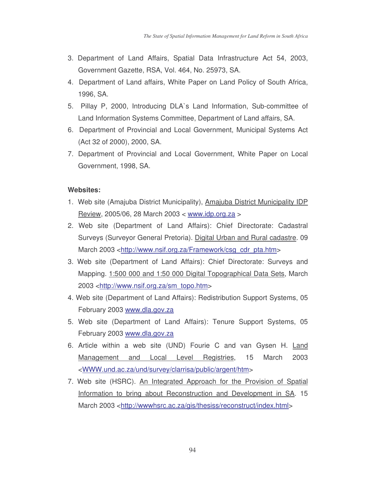- 3. Department of Land Affairs, Spatial Data Infrastructure Act 54, 2003, Government Gazette, RSA, Vol. 464, No. 25973, SA.
- 4. Department of Land affairs, White Paper on Land Policy of South Africa, 1996, SA.
- 5. Pillay P, 2000, Introducing DLA`s Land Information, Sub-committee of Land Information Systems Committee, Department of Land affairs, SA.
- 6. Department of Provincial and Local Government, Municipal Systems Act (Act 32 of 2000), 2000, SA.
- 7. Department of Provincial and Local Government, White Paper on Local Government, 1998, SA.

### **Websites:**

- 1. Web site (Amajuba District Municipality), Amajuba District Municipality IDP Review, 2005/06, 28 March 2003 < www.idp.org.za >
- 2. Web site (Department of Land Affairs): Chief Directorate: Cadastral Surveys (Surveyor General Pretoria). Digital Urban and Rural cadastre. 09 March 2003 <http://www.nsif.org.za/Framework/csg\_cdr\_pta.htm>
- 3. Web site (Department of Land Affairs): Chief Directorate: Surveys and Mapping. 1:500 000 and 1:50 000 Digital Topographical Data Sets, March 2003 <http://www.nsif.org.za/sm\_topo.htm>
- 4. Web site (Department of Land Affairs): Redistribution Support Systems, 05 February 2003 www.dla.gov.za
- 5. Web site (Department of Land Affairs): Tenure Support Systems, 05 February 2003 www.dla.gov.za
- 6. Article within a web site (UND) Fourie C and van Gysen H. Land Management and Local Level Registries, 15 March 2003 <WWW.und.ac.za/und/survey/clarrisa/public/argent/htm>
- 7. Web site (HSRC). An Integrated Approach for the Provision of Spatial Information to bring about Reconstruction and Development in SA. 15 March 2003 <http://wwwhsrc.ac.za/gis/thesiss/reconstruct/index.html>